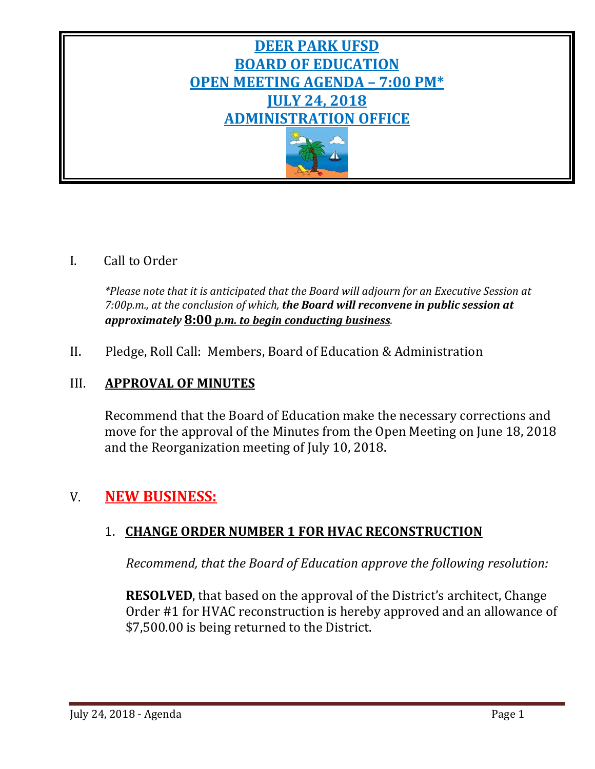# **DEER PARK UFSD BOARD OF EDUCATION OPEN MEETING AGENDA – 7:00 PM\* JULY 24, 2018 ADMINISTRATION OFFICE**



# I. Call to Order

*\*Please note that it is anticipated that the Board will adjourn for an Executive Session at 7:00p.m., at the conclusion of which, the Board will reconvene in public session at approximately* **8:00** *p.m. to begin conducting business.*

II. Pledge, Roll Call: Members, Board of Education & Administration

# III. **APPROVAL OF MINUTES**

Recommend that the Board of Education make the necessary corrections and move for the approval of the Minutes from the Open Meeting on June 18, 2018 and the Reorganization meeting of July 10, 2018.

# V. **NEW BUSINESS:**

# 1. **CHANGE ORDER NUMBER 1 FOR HVAC RECONSTRUCTION**

*Recommend, that the Board of Education approve the following resolution:*

**RESOLVED**, that based on the approval of the District's architect, Change Order #1 for HVAC reconstruction is hereby approved and an allowance of \$7,500.00 is being returned to the District.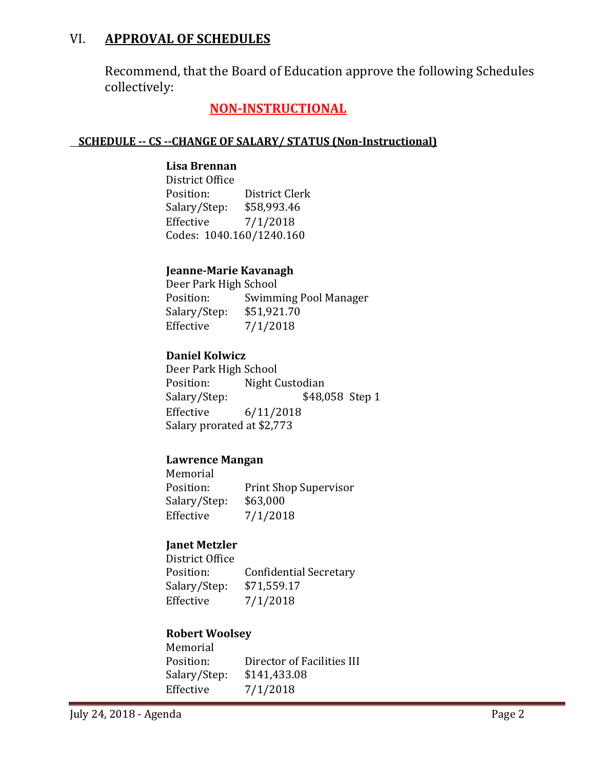# VI. **APPROVAL OF SCHEDULES**

Recommend, that the Board of Education approve the following Schedules collectively:

# **NON-INSTRUCTIONAL**

### **SCHEDULE -- CS --CHANGE OF SALARY/ STATUS (Non-Instructional)**

### **Lisa Brennan**

District Office District Clerk<br>\$58,993.46 Salary/Step: Effective 7/1/2018 Codes: 1040.160/1240.160

### **Jeanne-Marie Kavanagh**

Deer Park High School<br>Position: Swimm Swimming Pool Manager<br>\$51,921.70 Salary/Step:<br>Effective  $7/1/2018$ 

### **Daniel Kolwicz**

Deer Park High School<br>Position: Night C Position: Night Custodian<br>Salary/Step: \$48,0 \$48,058 Step 1 Effective 6/11/2018 Salary prorated at \$2,773

### **Lawrence Mangan**

Memorial<br>Position: Print Shop Supervisor<br>\$63,000 Salary/Step:<br>Effective  $7/1/2018$ 

### **Janet Metzler**

District Office Confidential Secretary<br>\$71,559.17 Salary/Step:<br>Effective  $7/1/2018$ 

### **Robert Woolsey**

| Director of Facilities III |
|----------------------------|
| \$141,433.08               |
| 7/1/2018                   |
|                            |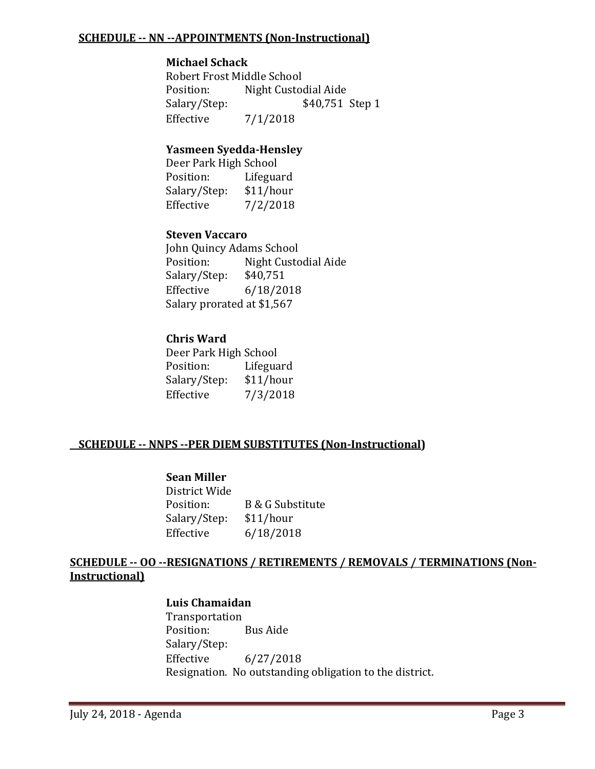#### **SCHEDULE -- NN --APPOINTMENTS (Non-Instructional)**

#### **Michael Schack**

Robert Frost Middle School<br>Position: Night Custoo Position: Night Custodial Aide<br>Salary/Step: \$40,751 \$40,751 Step 1 Effective 7/1/2018

### **Yasmeen Syedda-Hensley**

Deer Park High School<br>Position: Lifegua Lifeguard<br>\$11/hour Salary/Step:<br>Effective  $7/2/2018$ 

### **Steven Vaccaro**

John Quincy Adams School<br>Position: Night Custo Night Custodial Aide<br>\$40,751 Salary/Step: Effective 6/18/2018 Salary prorated at \$1,567

### **Chris Ward**

Deer Park High School Lifeguard<br>\$11/hour Salary/Step:<br>Effective  $7/3/2018$ 

### **SCHEDULE -- NNPS --PER DIEM SUBSTITUTES (Non-Instructional)**

### **Sean Miller**

District Wide B & G Substitute<br>\$11/hour Salary/Step:<br>Effective Effective 6/18/2018

### **SCHEDULE -- OO --RESIGNATIONS / RETIREMENTS / REMOVALS / TERMINATIONS (Non-Instructional)**

### **Luis Chamaidan**

Transportation Position: Bus Aide Salary/Step:<br>Effective  $6/27/2018$ Resignation. No outstanding obligation to the district.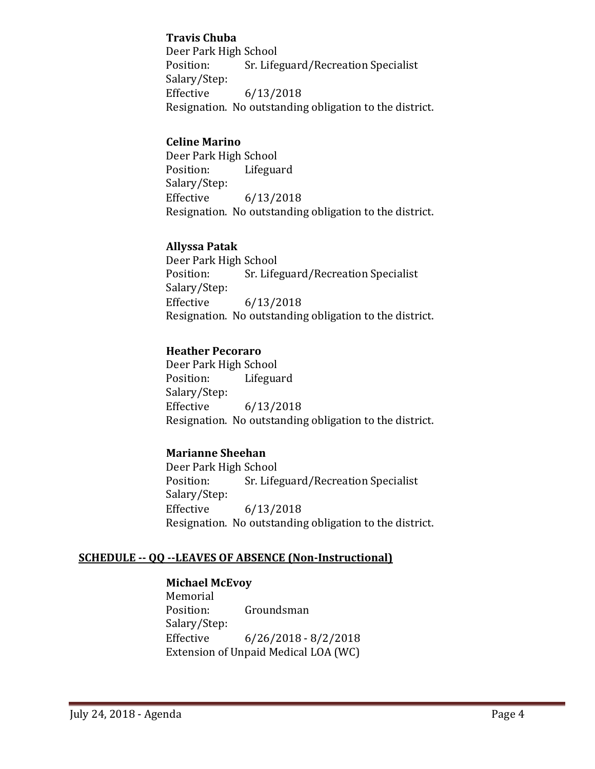### **Travis Chuba**

Deer Park High School<br>Position: Sr. Life Sr. Lifeguard/Recreation Specialist Salary/Step:  $6/13/2018$ Resignation. No outstanding obligation to the district.

### **Celine Marino**

Deer Park High School<br>Position: Lifegua Lifeguard Salary/Step:  $6/13/2018$ Resignation. No outstanding obligation to the district.

### **Allyssa Patak**

Deer Park High School<br>Position: Sr. Life Sr. Lifeguard/Recreation Specialist Salary/Step:<br>Effective Effective 6/13/2018 Resignation. No outstanding obligation to the district.

### **Heather Pecoraro**

Deer Park High School<br>Position: Lifegua Lifeguard Salary/Step:  $6/13/2018$ Resignation. No outstanding obligation to the district.

### **Marianne Sheehan**

Deer Park High School<br>Position: Sr. Life Sr. Lifeguard/Recreation Specialist Salary/Step:<br>Effective Effective 6/13/2018 Resignation. No outstanding obligation to the district.

### **SCHEDULE -- QQ --LEAVES OF ABSENCE (Non-Instructional)**

### **Michael McEvoy**

Memorial<br>Position: Groundsman Salary/Step: Effective 6/26/2018 - 8/2/2018 Extension of Unpaid Medical LOA (WC)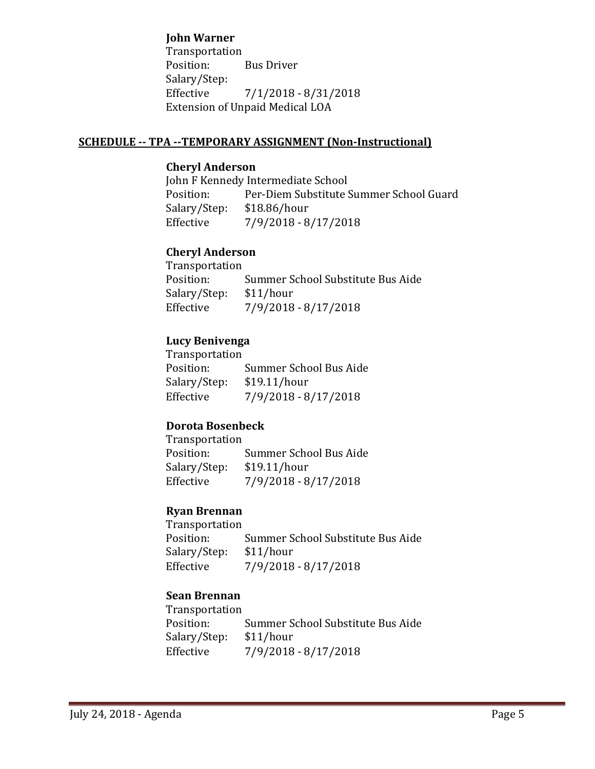#### **John Warner**

Transportation<br>Position: **Bus Driver** Salary/Step:<br>Effective Effective 7/1/2018 - 8/31/2018 Extension of Unpaid Medical LOA

#### **SCHEDULE -- TPA --TEMPORARY ASSIGNMENT (Non-Instructional)**

### **Cheryl Anderson**

John F Kennedy Intermediate School<br>Position: Per-Diem Substitute S Per-Diem Substitute Summer School Guard<br>\$18.86/hour Salary/Step:<br>Effective Effective 7/9/2018 - 8/17/2018

### **Cheryl Anderson**

Transportation Summer School Substitute Bus Aide<br>\$11/hour Salary/Step:<br>Effective Effective 7/9/2018 - 8/17/2018

#### **Lucy Benivenga**

Transportation Summer School Bus Aide<br>\$19.11/hour Salary/Step:<br>Effective Effective 7/9/2018 - 8/17/2018

### **Dorota Bosenbeck**

Transportation<br>Position: Summer School Bus Aide<br>\$19.11/hour Salary/Step:<br>Effective Effective 7/9/2018 - 8/17/2018

#### **Ryan Brennan**

Transportation<br>Position: Summer School Substitute Bus Aide<br>\$11/hour Salary/Step:<br>Effective Effective 7/9/2018 - 8/17/2018

### **Sean Brennan**

Transportation Summer School Substitute Bus Aide<br>\$11/hour Salary/Step:<br>Effective Effective 7/9/2018 - 8/17/2018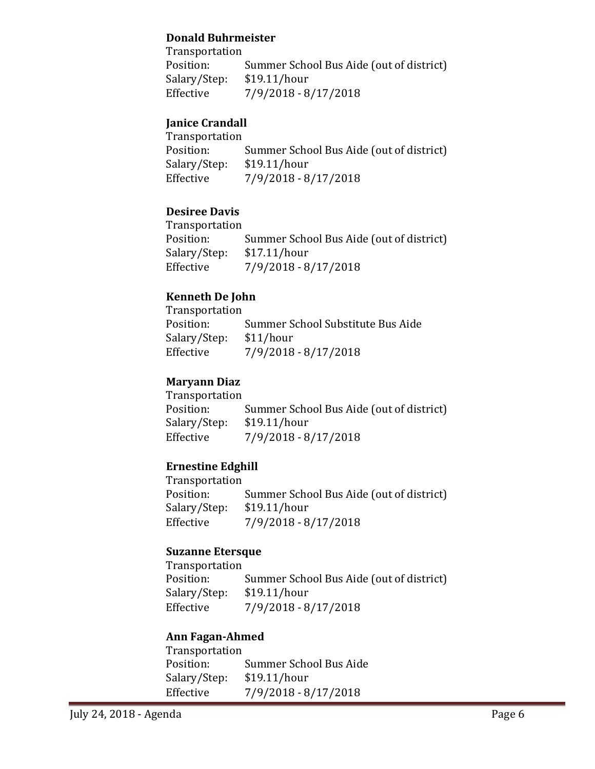### **Donald Buhrmeister**

Transportation<br>Position: Summer School Bus Aide (out of district)<br>\$19.11/hour Salary/Step:<br>Effective  $7/9/2018 - 8/17/2018$ 

## **Janice Crandall**

| <b>Transportation</b> |                                          |
|-----------------------|------------------------------------------|
| Position:             | Summer School Bus Aide (out of district) |
| Salary/Step:          | \$19.11/hour                             |
| Effective             | $7/9/2018 - 8/17/2018$                   |

### **Desiree Davis**

| Transportation |                                          |
|----------------|------------------------------------------|
| Position:      | Summer School Bus Aide (out of district) |
| Salary/Step:   | \$17.11/hour                             |
| Effective      | $7/9/2018 - 8/17/2018$                   |

# **Kenneth De John**

| Transportation |                                   |
|----------------|-----------------------------------|
| Position:      | Summer School Substitute Bus Aide |
| Salary/Step:   | \$11/hour                         |
| Effective      | 7/9/2018 - 8/17/2018              |

# **Maryann Diaz**

| <i>Transportation</i> |                                          |
|-----------------------|------------------------------------------|
| Position:             | Summer School Bus Aide (out of district) |
| Salary/Step:          | \$19.11/hour                             |
| Effective             | $7/9/2018 - 8/17/2018$                   |

# **Ernestine Edghill**

| <i>Transportation</i> |                                          |
|-----------------------|------------------------------------------|
| Position:             | Summer School Bus Aide (out of district) |
| Salary/Step:          | \$19.11/hour                             |
| Effective             | $7/9/2018 - 8/17/2018$                   |
|                       |                                          |

### **Suzanne Etersque**

Transportation Summer School Bus Aide (out of district)<br>\$19.11/hour Salary/Step:<br>Effective  $7/9/2018 - 8/17/2018$ 

### **Ann Fagan-Ahmed**

| <b>Transportation</b>  |
|------------------------|
| Summer School Bus Aide |
| \$19.11/hour           |
| 7/9/2018 - 8/17/2018   |
|                        |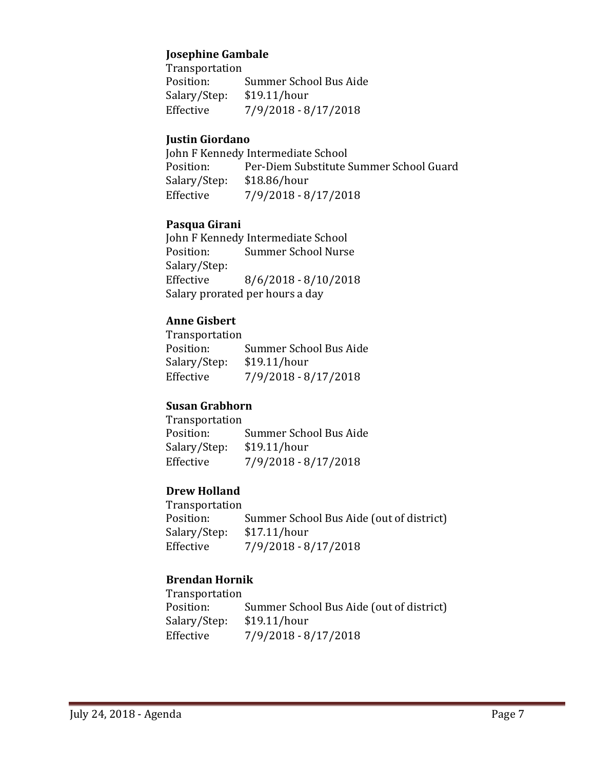#### **Josephine Gambale**

Transportation Summer School Bus Aide<br>\$19.11/hour Salary/Step:<br>Effective Effective 7/9/2018 - 8/17/2018

### **Justin Giordano**

John F Kennedy Intermediate School<br>Position: Per-Diem Substitute S Per-Diem Substitute Summer School Guard<br>\$18.86/hour Salary/Step:<br>Effective Effective 7/9/2018 - 8/17/2018

### **Pasqua Girani**

John F Kennedy Intermediate School<br>Position: Summer School Nurs Summer School Nurse Salary/Step: Effective 8/6/2018 - 8/10/2018 Salary prorated per hours a day

### **Anne Gisbert**

Transportation Summer School Bus Aide<br>\$19.11/hour Salary/Step: Effective 7/9/2018 - 8/17/2018

### **Susan Grabhorn**

Transportation Summer School Bus Aide<br>\$19.11/hour Salary/Step:<br>Effective Effective 7/9/2018 - 8/17/2018

### **Drew Holland**

Transportation<br>Position: Summer School Bus Aide (out of district)<br>\$17.11/hour Salary/Step:<br>Effective Effective 7/9/2018 - 8/17/2018

### **Brendan Hornik**

Transportation Summer School Bus Aide (out of district)<br>\$19.11/hour Salary/Step:<br>Effective Effective 7/9/2018 - 8/17/2018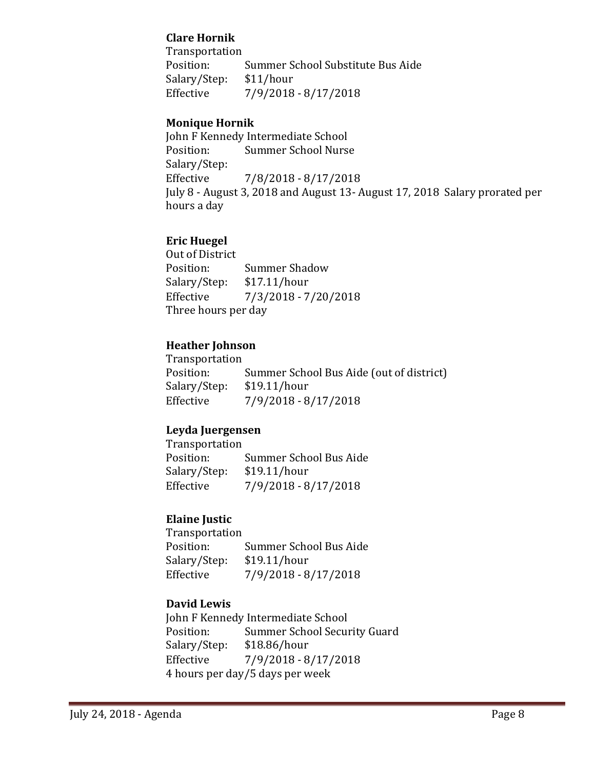### **Clare Hornik**

Transportation<br>Position: Summer School Substitute Bus Aide<br>\$11/hour Salary/Step:<br>Effective Effective 7/9/2018 - 8/17/2018

### **Monique Hornik**

John F Kennedy Intermediate School<br>Position: Summer School Nurse **Summer School Nurse** Salary/Step:<br>Effective Effective 7/8/2018 - 8/17/2018 July 8 - August 3, 2018 and August 13- August 17, 2018 Salary prorated per hours a day

### **Eric Huegel**

Out of District<br>Position: Summer Shadow<br>\$17.11/hour Salary/Step:<br>Effective Effective 7/3/2018 - 7/20/2018 Three hours per day

### **Heather Johnson**

Transportation<br>Position: Summer School Bus Aide (out of district)<br>\$19.11/hour Salary/Step:<br>Effective Effective 7/9/2018 - 8/17/2018

### **Leyda Juergensen**

Transportation Summer School Bus Aide<br>\$19.11/hour Salary/Step:<br>Effective Effective 7/9/2018 - 8/17/2018

### **Elaine Justic**

Transportation Position: Summer School Bus Aide<br>Salary/Step: \$19.11/hour Salary/Step: \$19.11/hour<br>Effective 7/9/2018 - 8 Effective 7/9/2018 - 8/17/2018

### **David Lewis**

John F Kennedy Intermediate School<br>Position: Summer School Secur Position: Summer School Security Guard<br>Salary/Step: \$18.86/hour Salary/Step: \$18.86/hour<br>Effective 7/9/2018 - 8 Effective 7/9/2018 - 8/17/2018 4 hours per day/5 days per week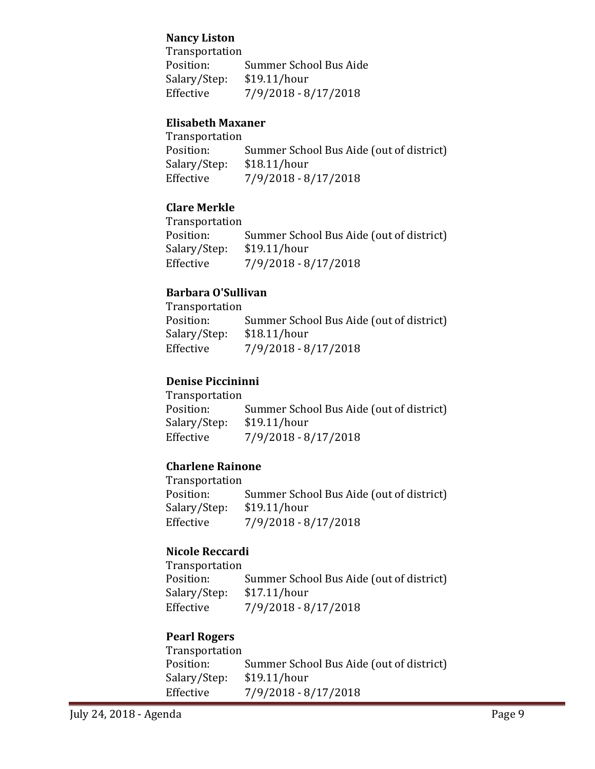### **Nancy Liston**

Transportation<br>Position: Summer School Bus Aide<br>\$19.11/hour Salary/Step:<br>Effective Effective 7/9/2018 - 8/17/2018

### **Elisabeth Maxaner**

| <b>Transportation</b> |                                          |
|-----------------------|------------------------------------------|
| Position:             | Summer School Bus Aide (out of district) |
| Salary/Step:          | \$18.11/hour                             |
| Effective             | $7/9/2018 - 8/17/2018$                   |

### **Clare Merkle**

| Transportation |                                          |
|----------------|------------------------------------------|
| Position:      | Summer School Bus Aide (out of district) |
| Salary/Step:   | \$19.11/hour                             |
| Effective      | $7/9/2018 - 8/17/2018$                   |
|                |                                          |

### **Barbara O'Sullivan**

| Transportation |                                          |
|----------------|------------------------------------------|
| Position:      | Summer School Bus Aide (out of district) |
| Salary/Step:   | \$18.11/hour                             |
| Effective      | $7/9/2018 - 8/17/2018$                   |

## **Denise Piccininni**

| Position:<br>\$19.11/hour<br>Salary/Step: | Transportation |                                          |
|-------------------------------------------|----------------|------------------------------------------|
|                                           |                | Summer School Bus Aide (out of district) |
|                                           |                |                                          |
|                                           | Effective      | $7/9/2018 - 8/17/2018$                   |

## **Charlene Rainone**

| <b>Transportation</b> |                                          |
|-----------------------|------------------------------------------|
| Position:             | Summer School Bus Aide (out of district) |
| Salary/Step:          | \$19.11/hour                             |
| Effective             | $7/9/2018 - 8/17/2018$                   |
|                       |                                          |

### **Nicole Reccardi**

Transportation Summer School Bus Aide (out of district)<br>\$17.11/hour Salary/Step:<br>Effective Effective 7/9/2018 - 8/17/2018

# **Pearl Rogers**

| Summer School Bus Aide (out of district) |
|------------------------------------------|
| \$19.11/hour                             |
| $7/9/2018 - 8/17/2018$                   |
|                                          |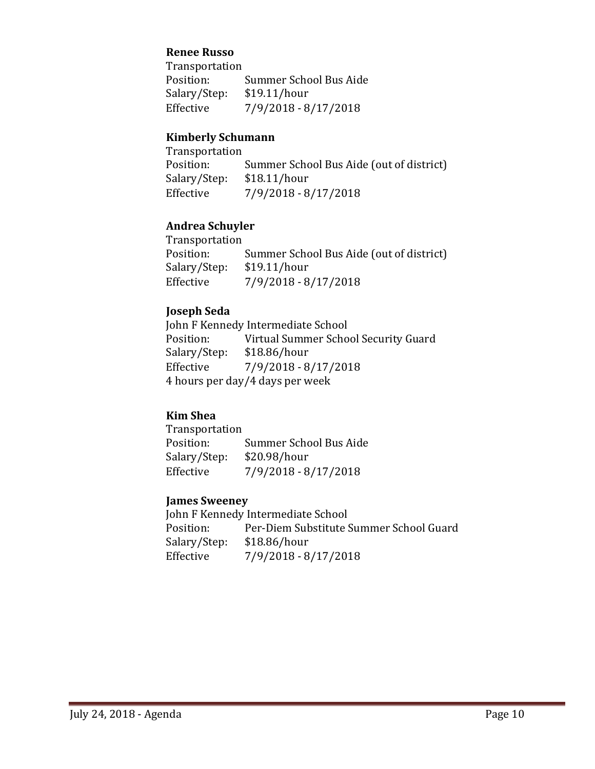#### **Renee Russo**

Transportation Summer School Bus Aide<br>\$19.11/hour Salary/Step:<br>Effective Effective 7/9/2018 - 8/17/2018

#### **Kimberly Schumann**

| Transportation |                                          |
|----------------|------------------------------------------|
| Position:      | Summer School Bus Aide (out of district) |
| Salary/Step:   | \$18.11/hour                             |
| Effective      | 7/9/2018 - 8/17/2018                     |

### **Andrea Schuyler**

Transportation<br>Position: Summer School Bus Aide (out of district)<br>\$19.11/hour Salary/Step:<br>Effective Effective 7/9/2018 - 8/17/2018

#### **Joseph Seda**

John F Kennedy Intermediate School<br>Position: Virtual Summer Scho Virtual Summer School Security Guard<br>\$18.86/hour Salary/Step:<br>Effective Effective 7/9/2018 - 8/17/2018 4 hours per day/4 days per week

### **Kim Shea**

Transportation<br>Position: Summer School Bus Aide<br>\$20.98/hour Salary/Step:<br>Effective Effective 7/9/2018 - 8/17/2018

#### **James Sweeney**

John F Kennedy Intermediate School<br>Position: Per-Diem Substitute ! Per-Diem Substitute Summer School Guard<br>\$18.86/hour Salary/Step:<br>Effective Effective 7/9/2018 - 8/17/2018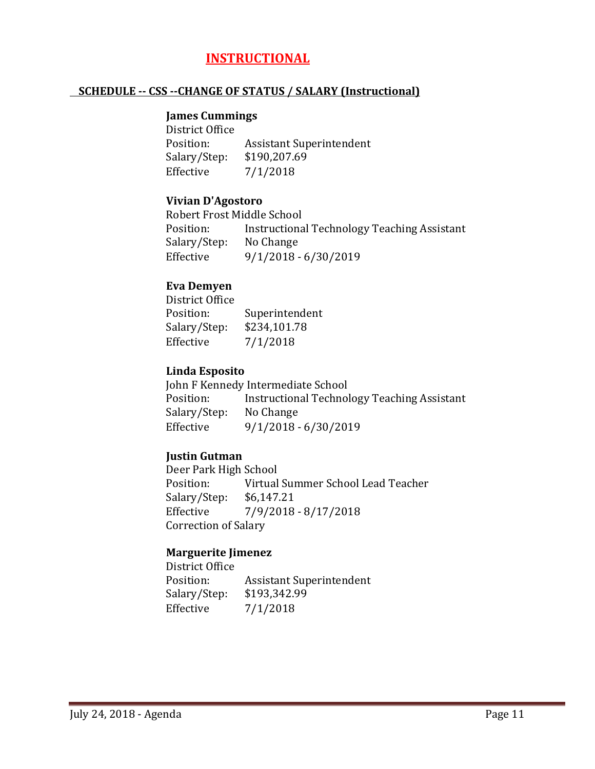# **INSTRUCTIONAL**

### **SCHEDULE -- CSS --CHANGE OF STATUS / SALARY (Instructional)**

#### **James Cummings**

District Office<br>Position: Assistant Superintendent<br>\$190,207.69 Salary/Step:<br>Effective  $7/1/2018$ 

### **Vivian D'Agostoro**

Robert Frost Middle School<br>Position: linstructiona Instructional Technology Teaching Assistant<br>No Change Salary/Step:<br>Effective  $9/1/2018 - 6/30/2019$ 

### **Eva Demyen**

District Office<br>Position: Superintendent<br>\$234,101.78 Salary/Step:<br>Effective  $7/1/2018$ 

### **Linda Esposito**

John F Kennedy Intermediate School<br>Position: lnstructional Technol Instructional Technology Teaching Assistant<br>No Change Salary/Step:<br>Effective Effective 9/1/2018 - 6/30/2019

### **Justin Gutman**

Deer Park High School<br>Position: Virtual Virtual Summer School Lead Teacher<br>\$6,147.21 Salary/Step:<br>Effective Effective 7/9/2018 - 8/17/2018 Correction of Salary

### **Marguerite Jimenez**

District Office<br>Position: Assistant Superintendent<br>\$193,342.99 Salary/Step:<br>Effective  $7/1/2018$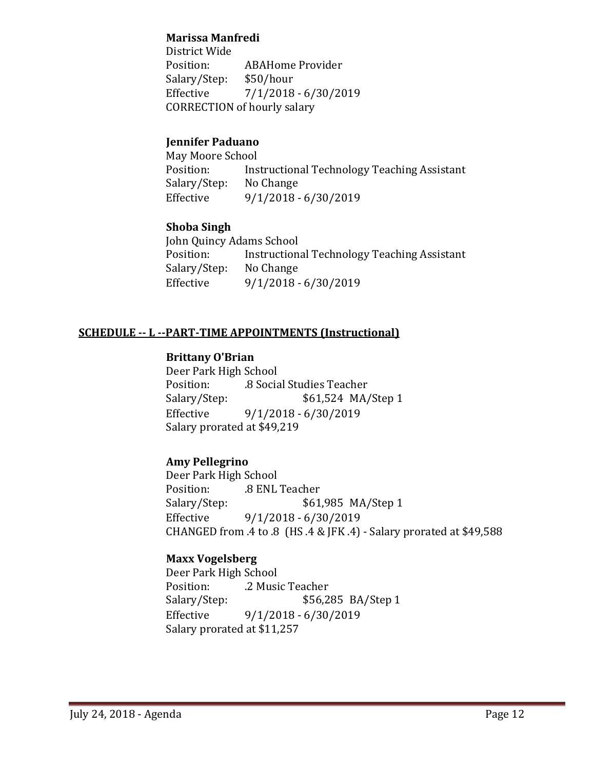### **Marissa Manfredi**

District Wide ABAHome Provider<br>\$50/hour Salary/Step: Effective 7/1/2018 - 6/30/2019 CORRECTION of hourly salary

## **Jennifer Paduano**

May Moore School<br>Position: Ins Instructional Technology Teaching Assistant<br>No Change Salary/Step:<br>Effective  $9/1/2018 - 6/30/2019$ 

### **Shoba Singh**

John Quincy Adams School<br>Position: lnstruction Instructional Technology Teaching Assistant<br>No Change Salary/Step:<br>Effective Effective 9/1/2018 - 6/30/2019

### **SCHEDULE -- L --PART-TIME APPOINTMENTS (Instructional)**

### **Brittany O'Brian**

Deer Park High School Position: .8 Social Studies Teacher Salary/Step: \$61,524 MA/Step 1<br>Effective 9/1/2018 - 6/30/2019 Effective 9/1/2018 - 6/30/2019 Salary prorated at \$49,219

### **Amy Pellegrino**

Deer Park High School Position: .8 ENL Teacher<br>Salary/Step: \$61 \$61,985 MA/Step 1 Effective 9/1/2018 - 6/30/2019 CHANGED from .4 to .8 (HS .4 & JFK .4) - Salary prorated at \$49,588

### **Maxx Vogelsberg**

Deer Park High School Position: .2 Music Teacher<br>Salary/Step: \$56,2 Salary/Step: \$56,285 BA/Step 1<br>Effective 9/1/2018 - 6/30/2019 Effective 9/1/2018 - 6/30/2019 Salary prorated at \$11,257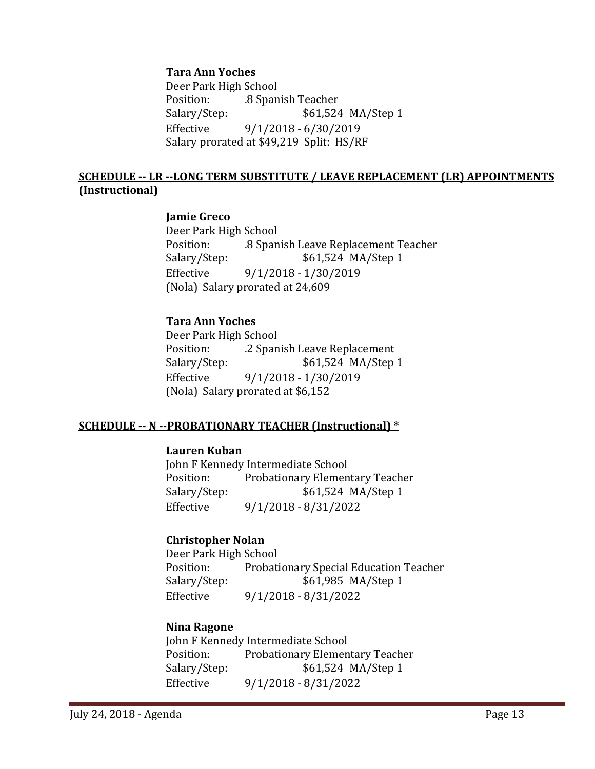#### **Tara Ann Yoches**

Deer Park High School Position: .8 Spanish Teacher<br>Salary/Step: .361,524 \$61,524 MA/Step 1 Effective 9/1/2018 - 6/30/2019 Salary prorated at \$49,219 Split: HS/RF

### **SCHEDULE -- LR --LONG TERM SUBSTITUTE / LEAVE REPLACEMENT (LR) APPOINTMENTS (Instructional)**

#### **Jamie Greco**

Deer Park High School<br>Position: . . . . . 8 Span Position: .8 Spanish Leave Replacement Teacher \$61,524 MA/Step 1 Effective 9/1/2018 - 1/30/2019 (Nola) Salary prorated at 24,609

#### **Tara Ann Yoches**

Deer Park High School Position: .2 Spanish Leave Replacement \$61,524 MA/Step 1 Effective 9/1/2018 - 1/30/2019 (Nola) Salary prorated at \$6,152

### **SCHEDULE -- N --PROBATIONARY TEACHER (Instructional) \***

#### **Lauren Kuban**

John F Kennedy Intermediate School<br>Position: Probationary Elemen Position: Probationary Elementary Teacher<br>Salary/Step: \$61,524 MA/Step 1 \$61,524 MA/Step 1 Effective 9/1/2018 - 8/31/2022

### **Christopher Nolan**

Deer Park High School Position: Probationary Special Education Teacher<br>Salary/Step: \$61,985 MA/Step 1 \$61,985 MA/Step 1 Effective 9/1/2018 - 8/31/2022

### **Nina Ragone**

John F Kennedy Intermediate School<br>Position: Probationary Elemen Position: Probationary Elementary Teacher<br>Salary/Step: \$61,524 MA/Step 1 \$61,524 MA/Step 1 Effective 9/1/2018 - 8/31/2022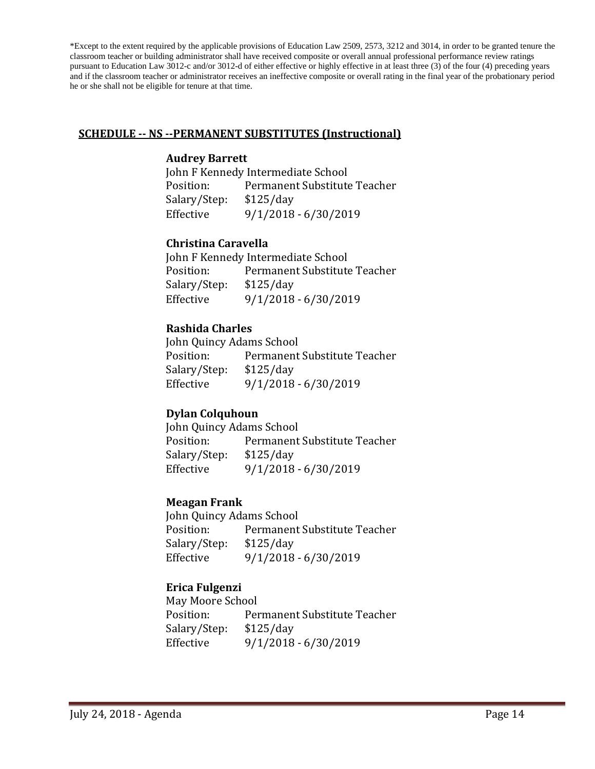\*Except to the extent required by the applicable provisions of Education Law 2509, 2573, 3212 and 3014, in order to be granted tenure the classroom teacher or building administrator shall have received composite or overall annual professional performance review ratings pursuant to Education Law 3012-c and/or 3012-d of either effective or highly effective in at least three (3) of the four (4) preceding years and if the classroom teacher or administrator receives an ineffective composite or overall rating in the final year of the probationary period he or she shall not be eligible for tenure at that time.

#### **SCHEDULE -- NS --PERMANENT SUBSTITUTES (Instructional)**

#### **Audrey Barrett**

John F Kennedy Intermediate School<br>Position: Permanent Substitute Permanent Substitute Teacher<br>\$125/day Salary/Step:<br>Effective  $9/1/2018 - 6/30/2019$ 

#### **Christina Caravella**

John F Kennedy Intermediate School<br>Position: Permanent Substitute Permanent Substitute Teacher<br>\$125/day Salary/Step:<br>Effective Effective 9/1/2018 - 6/30/2019

### **Rashida Charles**

John Quincy Adams School<br>Position: Permanent Permanent Substitute Teacher<br>\$125/day Salary/Step:<br>Effective Effective 9/1/2018 - 6/30/2019

### **Dylan Colquhoun**

John Quincy Adams School Position: Permanent Substitute Teacher<br>Salary/Step: \$125/dav Salary/Step: Effective 9/1/2018 - 6/30/2019

### **Meagan Frank**

John Quincy Adams School<br>Position: Permanent Permanent Substitute Teacher<br>\$125/day Salary/Step: Effective 9/1/2018 - 6/30/2019

### **Erica Fulgenzi**

May Moore School<br>Position: Per Permanent Substitute Teacher<br>\$125/day Salary/Step:<br>Effective Effective 9/1/2018 - 6/30/2019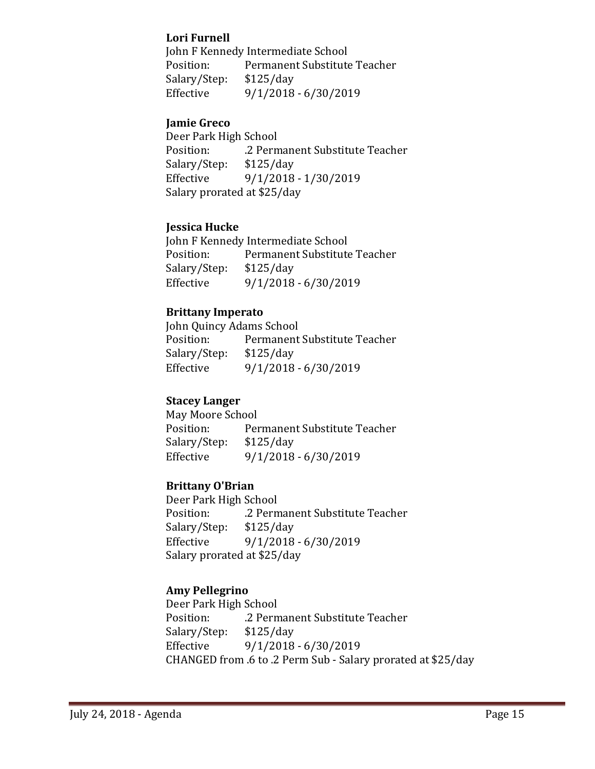### **Lori Furnell**

John F Kennedy Intermediate School<br>Position: Permanent Substitute Permanent Substitute Teacher<br>\$125/day Salary/Step:<br>Effective Effective 9/1/2018 - 6/30/2019

### **Jamie Greco**

Deer Park High School .2 Permanent Substitute Teacher<br>\$125/day Salary/Step:<br>Effective Effective 9/1/2018 - 1/30/2019 Salary prorated at \$25/day

### **Jessica Hucke**

John F Kennedy Intermediate School<br>Position: Permanent Substitute Permanent Substitute Teacher<br>\$125/day Salary/Step:<br>Effective Effective 9/1/2018 - 6/30/2019

### **Brittany Imperato**

John Quincy Adams School<br>Position: Permanent Permanent Substitute Teacher<br>\$125/day Salary/Step:<br>Effective  $9/1/2018 - 6/30/2019$ 

### **Stacey Langer**

May Moore School<br>Position: Per Permanent Substitute Teacher<br>\$125/day Salary/Step:<br>Effective Effective 9/1/2018 - 6/30/2019

### **Brittany O'Brian**

Deer Park High School .2 Permanent Substitute Teacher<br>\$125/day Salary/Step:<br>Effective  $9/1/2018 - 6/30/2019$ Salary prorated at \$25/day

### **Amy Pellegrino**

Deer Park High School .2 Permanent Substitute Teacher<br>\$125/day Salary/Step:<br>Effective Effective 9/1/2018 - 6/30/2019 CHANGED from .6 to .2 Perm Sub - Salary prorated at \$25/day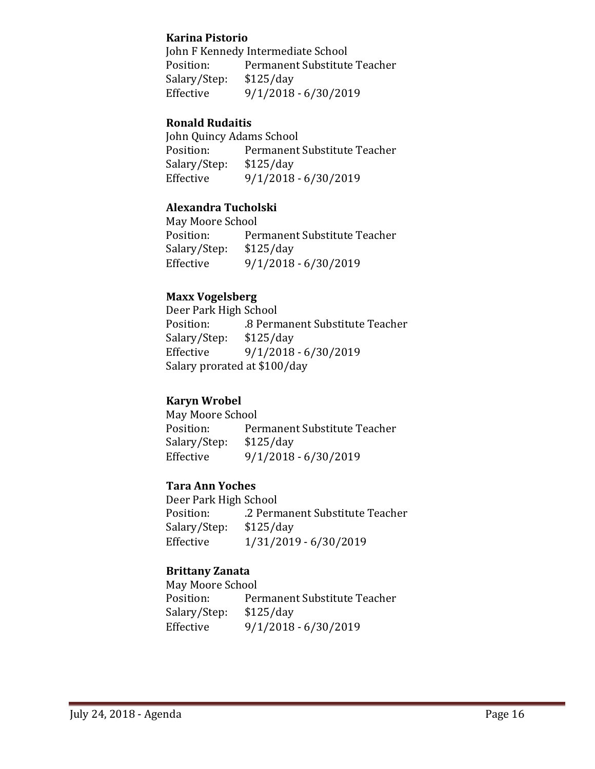#### **Karina Pistorio**

John F Kennedy Intermediate School<br>Position: Permanent Substitute Permanent Substitute Teacher<br>\$125/day Salary/Step:<br>Effective Effective 9/1/2018 - 6/30/2019

### **Ronald Rudaitis**

John Quincy Adams School Permanent Substitute Teacher<br>\$125/day Salary/Step:<br>Effective  $9/1/2018 - 6/30/2019$ 

### **Alexandra Tucholski**

May Moore School<br>Position: Per Permanent Substitute Teacher<br>\$125/day Salary/Step:<br>Effective Effective 9/1/2018 - 6/30/2019

### **Maxx Vogelsberg**

Deer Park High School .8 Permanent Substitute Teacher<br>\$125/day Salary/Step:<br>Effective Effective 9/1/2018 - 6/30/2019 Salary prorated at \$100/day

### **Karyn Wrobel**

May Moore School<br>Position: Per Permanent Substitute Teacher<br>\$125/day Salary/Step:<br>Effective Effective 9/1/2018 - 6/30/2019

### **Tara Ann Yoches**

Deer Park High School .2 Permanent Substitute Teacher<br>\$125/day Salary/Step:<br>Effective Effective 1/31/2019 - 6/30/2019

### **Brittany Zanata**

May Moore School<br>Position: Per Permanent Substitute Teacher<br>\$125/day Salary/Step:<br>Effective  $9/1/2018 - 6/30/2019$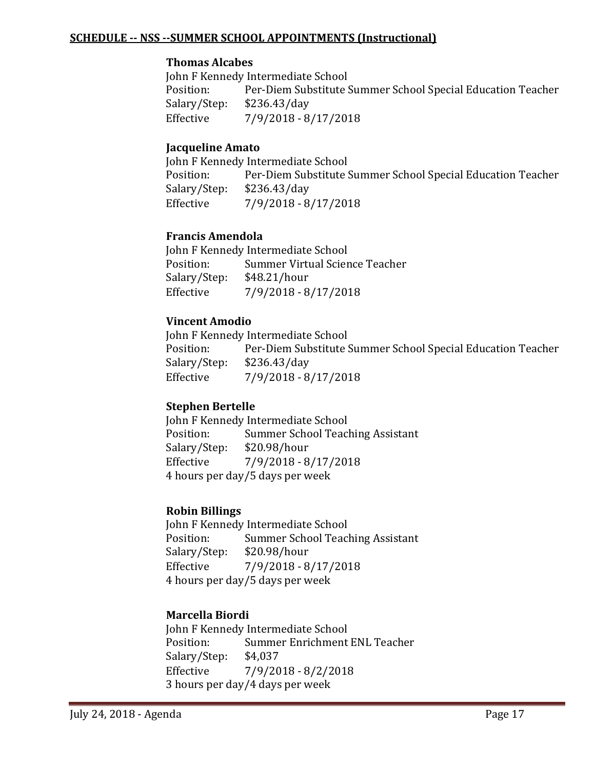#### **SCHEDULE -- NSS --SUMMER SCHOOL APPOINTMENTS (Instructional)**

#### **Thomas Alcabes**

John F Kennedy Intermediate School<br>Position: Per-Diem Substitute ! Per-Diem Substitute Summer School Special Education Teacher \$236.43/day Salary/Step:<br>Effective Effective 7/9/2018 - 8/17/2018

### **Jacqueline Amato**

John F Kennedy Intermediate School<br>Position: Per-Diem Substitute ! Per-Diem Substitute Summer School Special Education Teacher \$236.43/day Salary/Step:<br>Effective Effective 7/9/2018 - 8/17/2018

### **Francis Amendola**

John F Kennedy Intermediate School<br>Position: Summer Virtual Scier Summer Virtual Science Teacher<br>\$48.21/hour Salary/Step:<br>Effective Effective 7/9/2018 - 8/17/2018

### **Vincent Amodio**

John F Kennedy Intermediate School<br>Position: Per-Diem Substitute ! Per-Diem Substitute Summer School Special Education Teacher<br>\$236.43/day Salary/Step:<br>Effective Effective 7/9/2018 - 8/17/2018

### **Stephen Bertelle**

John F Kennedy Intermediate School<br>Position: Summer School Teac Summer School Teaching Assistant<br>\$20.98/hour Salary/Step: Effective 7/9/2018 - 8/17/2018 4 hours per day/5 days per week

### **Robin Billings**

John F Kennedy Intermediate School<br>Position: Summer School Teac Summer School Teaching Assistant<br>\$20.98/hour Salary/Step:<br>Effective Effective 7/9/2018 - 8/17/2018 4 hours per day/5 days per week

### **Marcella Biordi**

John F Kennedy Intermediate School<br>Position: Summer Enrichment Summer Enrichment ENL Teacher<br>\$4,037 Salary/Step: Effective 7/9/2018 - 8/2/2018 3 hours per day/4 days per week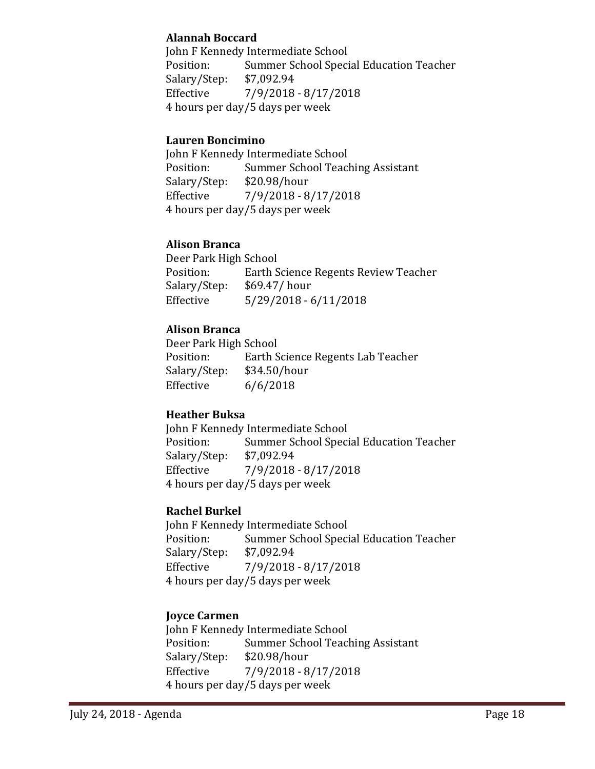### **Alannah Boccard**

John F Kennedy Intermediate School<br>Position: Summer School Speci Summer School Special Education Teacher<br>\$7,092.94 Salary/Step:<br>Effective Effective 7/9/2018 - 8/17/2018 4 hours per day/5 days per week

### **Lauren Boncimino**

John F Kennedy Intermediate School<br>Position: Summer School Teacl Summer School Teaching Assistant<br>\$20.98/hour Salary/Step:<br>Effective Effective 7/9/2018 - 8/17/2018 4 hours per day/5 days per week

### **Alison Branca**

Deer Park High School<br>Position: Earth S Position: Earth Science Regents Review Teacher<br>Salary/Step: \$69.47/ hour Salary/Step: \$69.47/ hour<br>Effective 5/29/2018 - 6  $5/29/2018 - 6/11/2018$ 

### **Alison Branca**

Deer Park High School<br>Position: Earth S Earth Science Regents Lab Teacher<br>\$34.50/hour Salary/Step:<br>Effective  $6/6/2018$ 

### **Heather Buksa**

John F Kennedy Intermediate School<br>Position: Summer School Speci Summer School Special Education Teacher<br>\$7,092.94 Salary/Step:<br>Effective Effective 7/9/2018 - 8/17/2018 4 hours per day/5 days per week

### **Rachel Burkel**

John F Kennedy Intermediate School<br>Position: Summer School Speci Summer School Special Education Teacher<br>\$7,092.94 Salary/Step:<br>Effective Effective 7/9/2018 - 8/17/2018 4 hours per day/5 days per week

### **Joyce Carmen**

John F Kennedy Intermediate School<br>Position: Summer School Teac Position: Summer School Teaching Assistant<br>Salary/Step: \$20.98/hour Salary/Step: \$20.98/hour<br>Effective 7/9/2018 - 8 Effective 7/9/2018 - 8/17/2018 4 hours per day/5 days per week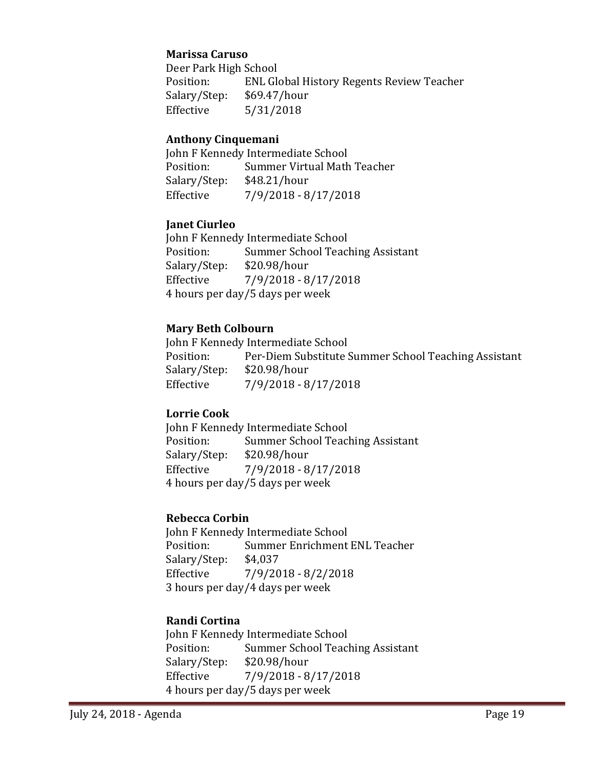#### **Marissa Caruso**

Deer Park High School<br>Position: ENL Gle ENL Global History Regents Review Teacher<br>\$69.47/hour Salary/Step:<br>Effective  $5/31/2018$ 

### **Anthony Cinquemani**

John F Kennedy Intermediate School<br>Position: Summer Virtual Math Summer Virtual Math Teacher<br>\$48.21/hour Salary/Step:<br>Effective Effective 7/9/2018 - 8/17/2018

#### **Janet Ciurleo**

John F Kennedy Intermediate School<br>Position: Summer School Teac Summer School Teaching Assistant<br>\$20.98/hour Salary/Step: Effective 7/9/2018 - 8/17/2018 4 hours per day/5 days per week

#### **Mary Beth Colbourn**

John F Kennedy Intermediate School<br>Position: Per-Diem Substitute S Per-Diem Substitute Summer School Teaching Assistant \$20.98/hour Salary/Step:<br>Effective Effective 7/9/2018 - 8/17/2018

### **Lorrie Cook**

John F Kennedy Intermediate School<br>Position: Summer School Teac Summer School Teaching Assistant<br>\$20.98/hour Salary/Step: Effective 7/9/2018 - 8/17/2018 4 hours per day/5 days per week

### **Rebecca Corbin**

John F Kennedy Intermediate School<br>Position: Summer Enrichment Summer Enrichment ENL Teacher<br>\$4.037 Salary/Step:<br>Effective Effective 7/9/2018 - 8/2/2018 3 hours per day/4 days per week

### **Randi Cortina**

John F Kennedy Intermediate School<br>Position: Summer School Teac Summer School Teaching Assistant<br>\$20.98/hour Salary/Step: Effective 7/9/2018 - 8/17/2018 4 hours per day/5 days per week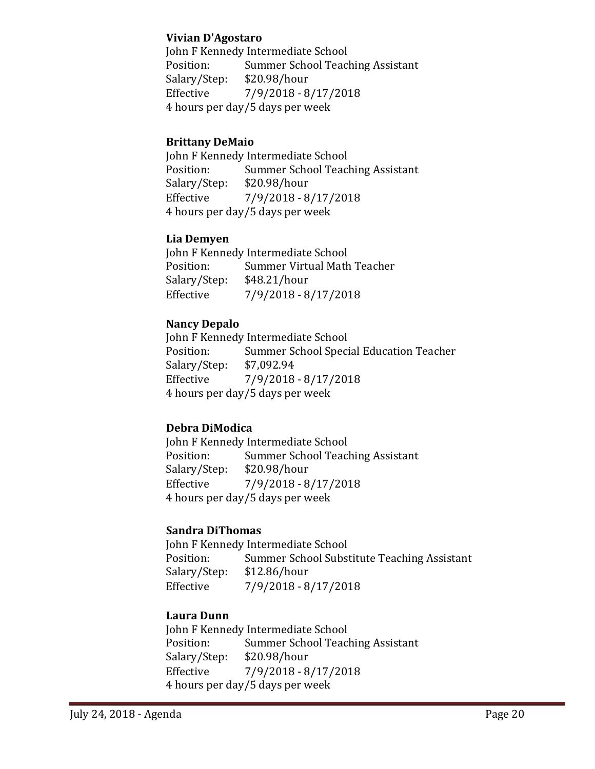#### **Vivian D'Agostaro**

John F Kennedy Intermediate School<br>Position: Summer School Teacl Summer School Teaching Assistant<br>\$20.98/hour Salary/Step:<br>Effective Effective 7/9/2018 - 8/17/2018 4 hours per day/5 days per week

### **Brittany DeMaio**

John F Kennedy Intermediate School<br>Position: Summer School Teacl Summer School Teaching Assistant<br>\$20.98/hour Salary/Step:<br>Effective Effective 7/9/2018 - 8/17/2018 4 hours per day/5 days per week

### **Lia Demyen**

John F Kennedy Intermediate School<br>Position: Summer Virtual Math Summer Virtual Math Teacher<br>\$48.21/hour Salary/Step:<br>Effective Effective 7/9/2018 - 8/17/2018

### **Nancy Depalo**

John F Kennedy Intermediate School<br>Position: Summer School Speci Summer School Special Education Teacher<br>\$7,092.94 Salary/Step:<br>Effective Effective 7/9/2018 - 8/17/2018 4 hours per day/5 days per week

### **Debra DiModica**

John F Kennedy Intermediate School<br>Position: Summer School Teacl Summer School Teaching Assistant<br>\$20.98/hour Salary/Step: Effective 7/9/2018 - 8/17/2018 4 hours per day/5 days per week

### **Sandra DiThomas**

John F Kennedy Intermediate School<br>Position: Summer School Subst Summer School Substitute Teaching Assistant<br>\$12.86/hour Salary/Step:<br>Effective Effective 7/9/2018 - 8/17/2018

### **Laura Dunn**

John F Kennedy Intermediate School<br>Position: Summer School Teacl Position: Summer School Teaching Assistant<br>Salary/Step: \$20.98/hour Salary/Step: \$20.98/hour<br>Effective 7/9/2018 - 8 Effective 7/9/2018 - 8/17/2018 4 hours per day/5 days per week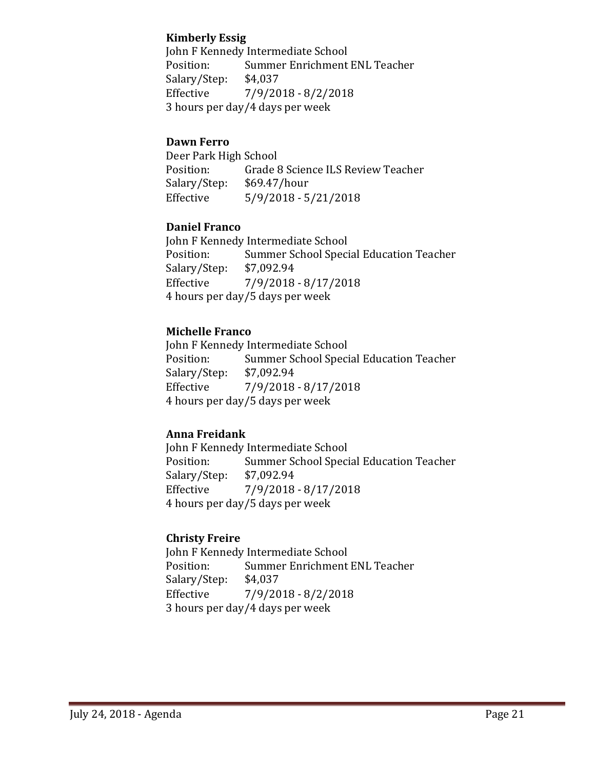### **Kimberly Essig**

John F Kennedy Intermediate School<br>Position: Summer Enrichment Summer Enrichment ENL Teacher<br>\$4,037 Salary/Step:<br>Effective  $7/9/2018 - 8/2/2018$ 3 hours per day/4 days per week

### **Dawn Ferro**

Deer Park High School<br>Position: Grade 8 Grade 8 Science ILS Review Teacher<br>\$69.47/hour Salary/Step:<br>Effective  $5/9/2018 - 5/21/2018$ 

### **Daniel Franco**

John F Kennedy Intermediate School<br>Position: Summer School Speci Summer School Special Education Teacher<br>\$7,092.94 Salary/Step:<br>Effective Effective 7/9/2018 - 8/17/2018 4 hours per day/5 days per week

### **Michelle Franco**

John F Kennedy Intermediate School<br>Position: Summer School Speci Summer School Special Education Teacher<br>\$7,092.94 Salary/Step:<br>Effective Effective 7/9/2018 - 8/17/2018 4 hours per day/5 days per week

### **Anna Freidank**

John F Kennedy Intermediate School<br>Position: Summer School Speci Summer School Special Education Teacher<br>\$7,092.94 Salary/Step: Effective 7/9/2018 - 8/17/2018 4 hours per day/5 days per week

### **Christy Freire**

John F Kennedy Intermediate School<br>Position: Summer Enrichment Summer Enrichment ENL Teacher<br>\$4,037 Salary/Step:<br>Effective  $7/9/2018 - 8/2/2018$ 3 hours per day/4 days per week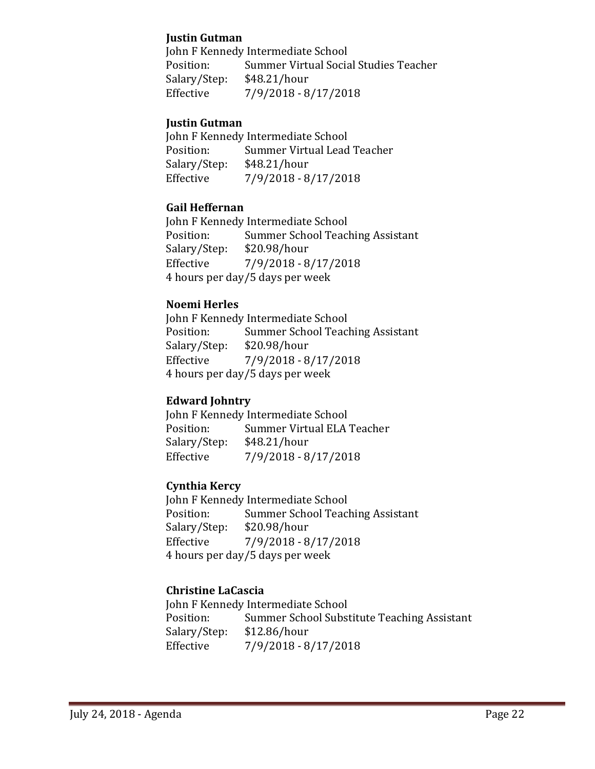### **Justin Gutman**

John F Kennedy Intermediate School<br>Position: Summer Virtual Socia Summer Virtual Social Studies Teacher<br>\$48.21/hour Salary/Step:<br>Effective Effective 7/9/2018 - 8/17/2018

### **Justin Gutman**

John F Kennedy Intermediate School<br>Position: Summer Virtual Lead Summer Virtual Lead Teacher<br>\$48.21/hour Salary/Step:<br>Effective Effective 7/9/2018 - 8/17/2018

### **Gail Heffernan**

John F Kennedy Intermediate School<br>Position: Summer School Teac Summer School Teaching Assistant<br>\$20.98/hour Salary/Step:<br>Effective Effective 7/9/2018 - 8/17/2018 4 hours per day/5 days per week

### **Noemi Herles**

John F Kennedy Intermediate School<br>Position: Summer School Teacl Summer School Teaching Assistant<br>\$20.98/hour Salary/Step:<br>Effective Effective 7/9/2018 - 8/17/2018 4 hours per day/5 days per week

### **Edward Johntry**

John F Kennedy Intermediate School<br>Position: Summer Virtual ELA Summer Virtual ELA Teacher<br>\$48.21/hour Salary/Step: Effective 7/9/2018 - 8/17/2018

### **Cynthia Kercy**

John F Kennedy Intermediate School<br>Position: Summer School Teacl Summer School Teaching Assistant<br>\$20.98/hour Salary/Step:<br>Effective Effective 7/9/2018 - 8/17/2018 4 hours per day/5 days per week

### **Christine LaCascia**

John F Kennedy Intermediate School<br>Position: Summer School Subst Summer School Substitute Teaching Assistant<br>\$12.86/hour Salary/Step:<br>Effective Effective 7/9/2018 - 8/17/2018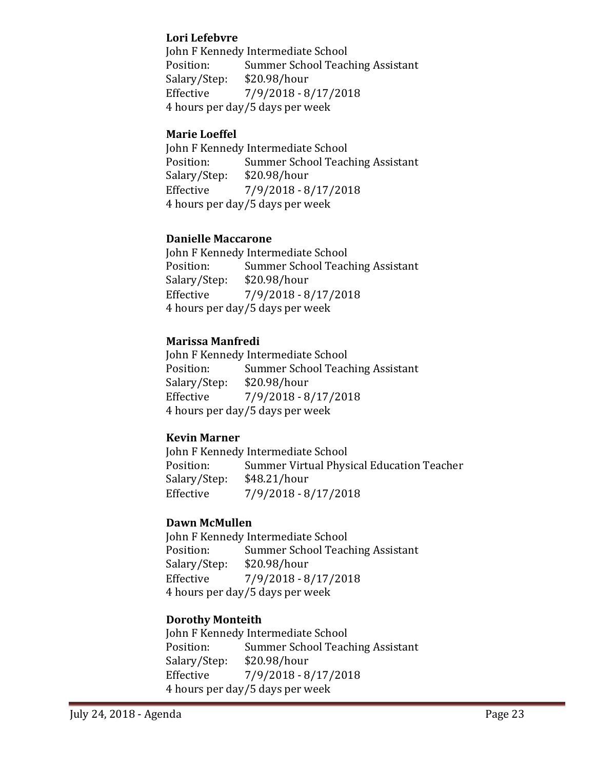### **Lori Lefebvre**

John F Kennedy Intermediate School<br>Position: Summer School Teac Summer School Teaching Assistant<br>\$20.98/hour Salary/Step:<br>Effective Effective 7/9/2018 - 8/17/2018 4 hours per day/5 days per week

### **Marie Loeffel**

John F Kennedy Intermediate School<br>Position: Summer School Teacl Summer School Teaching Assistant<br>\$20.98/hour Salary/Step:<br>Effective Effective 7/9/2018 - 8/17/2018 4 hours per day/5 days per week

### **Danielle Maccarone**

John F Kennedy Intermediate School<br>Position: Summer School Teac Summer School Teaching Assistant<br>\$20.98/hour Salary/Step:<br>Effective Effective 7/9/2018 - 8/17/2018 4 hours per day/5 days per week

### **Marissa Manfredi**

John F Kennedy Intermediate School<br>Position: Summer School Teac Summer School Teaching Assistant<br>\$20.98/hour Salary/Step:<br>Effective Effective 7/9/2018 - 8/17/2018 4 hours per day/5 days per week

### **Kevin Marner**

John F Kennedy Intermediate School<br>Position: Summer Virtual Phys Summer Virtual Physical Education Teacher<br>\$48.21/hour Salary/Step:<br>Effective Effective 7/9/2018 - 8/17/2018

### **Dawn McMullen**

John F Kennedy Intermediate School<br>Position: Summer School Teac Summer School Teaching Assistant<br>\$20.98/hour Salary/Step: Effective 7/9/2018 - 8/17/2018 4 hours per day/5 days per week

### **Dorothy Monteith**

John F Kennedy Intermediate School<br>Position: Summer School Teac Summer School Teaching Assistant<br>\$20.98/hour Salary/Step: Effective 7/9/2018 - 8/17/2018 4 hours per day/5 days per week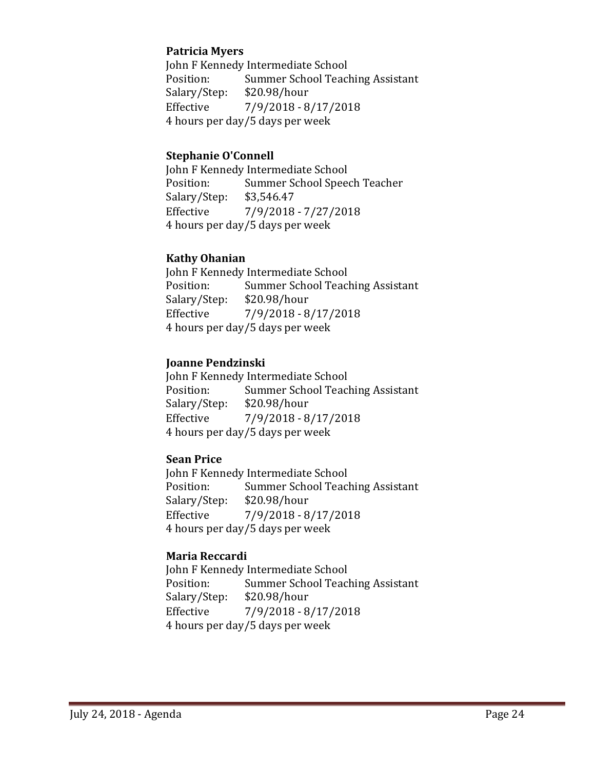### **Patricia Myers**

John F Kennedy Intermediate School<br>Position: Summer School Teac Summer School Teaching Assistant<br>\$20.98/hour Salary/Step:<br>Effective Effective 7/9/2018 - 8/17/2018 4 hours per day/5 days per week

#### **Stephanie O'Connell**

John F Kennedy Intermediate School<br>Position: Summer School Spee Summer School Speech Teacher<br>\$3,546.47 Salary/Step: Effective 7/9/2018 - 7/27/2018 4 hours per day/5 days per week

### **Kathy Ohanian**

John F Kennedy Intermediate School<br>Position: Summer School Teac Summer School Teaching Assistant<br>\$20.98/hour Salary/Step:<br>Effective Effective 7/9/2018 - 8/17/2018 4 hours per day/5 days per week

#### **Joanne Pendzinski**

John F Kennedy Intermediate School<br>Position: Summer School Teac Summer School Teaching Assistant<br>\$20.98/hour Salary/Step: Effective 7/9/2018 - 8/17/2018 4 hours per day/5 days per week

### **Sean Price**

John F Kennedy Intermediate School<br>Position: Summer School Teac Summer School Teaching Assistant<br>\$20.98/hour Salary/Step: Effective 7/9/2018 - 8/17/2018 4 hours per day/5 days per week

### **Maria Reccardi**

John F Kennedy Intermediate School<br>Position: Summer School Teacl Summer School Teaching Assistant<br>\$20.98/hour Salary/Step:<br>Effective Effective 7/9/2018 - 8/17/2018 4 hours per day/5 days per week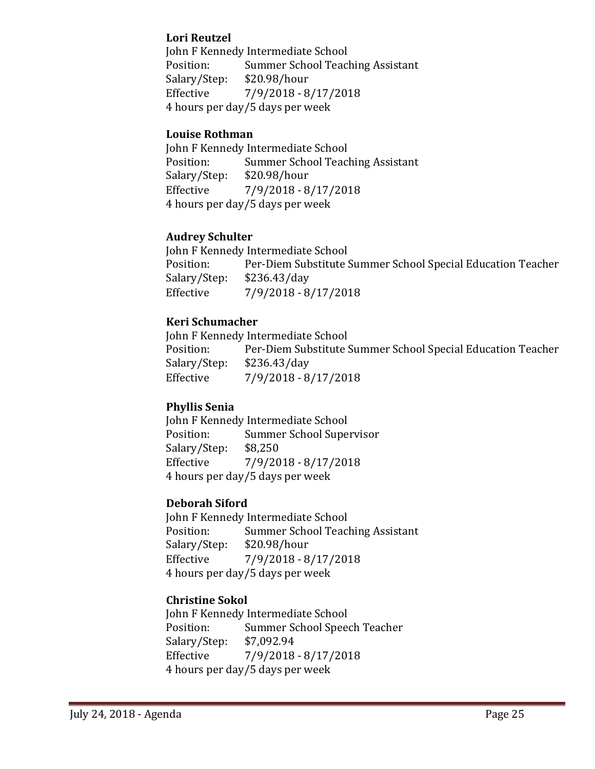### **Lori Reutzel**

John F Kennedy Intermediate School<br>Position: Summer School Teacl Summer School Teaching Assistant<br>\$20.98/hour Salary/Step:<br>Effective Effective 7/9/2018 - 8/17/2018 4 hours per day/5 days per week

### **Louise Rothman**

John F Kennedy Intermediate School<br>Position: Summer School Teac Summer School Teaching Assistant<br>\$20.98/hour Salary/Step:<br>Effective Effective 7/9/2018 - 8/17/2018 4 hours per day/5 days per week

### **Audrey Schulter**

John F Kennedy Intermediate School<br>Position: Per-Diem Substitute S Position: Per-Diem Substitute Summer School Special Education Teacher<br>Salary/Step: \$236.43/day Salary/Step: \$236.43/day Effective 7/9/2018 - 8/17/2018

### **Keri Schumacher**

John F Kennedy Intermediate School<br>Position: Per-Diem Substitute ! Position: Per-Diem Substitute Summer School Special Education Teacher<br>Salary/Step: \$236.43/day Salary/Step: \$236.43/day Effective 7/9/2018 - 8/17/2018

### **Phyllis Senia**

John F Kennedy Intermediate School<br>Position: Summer School Supe Summer School Supervisor<br>\$8,250 Salary/Step: Effective 7/9/2018 - 8/17/2018 4 hours per day/5 days per week

### **Deborah Siford**

John F Kennedy Intermediate School<br>Position: Summer School Teacl Summer School Teaching Assistant<br>\$20.98/hour Salary/Step:<br>Effective Effective 7/9/2018 - 8/17/2018 4 hours per day/5 days per week

### **Christine Sokol**

John F Kennedy Intermediate School<br>Position: Summer School Speed Summer School Speech Teacher<br>\$7,092.94 Salary/Step: Effective 7/9/2018 - 8/17/2018 4 hours per day/5 days per week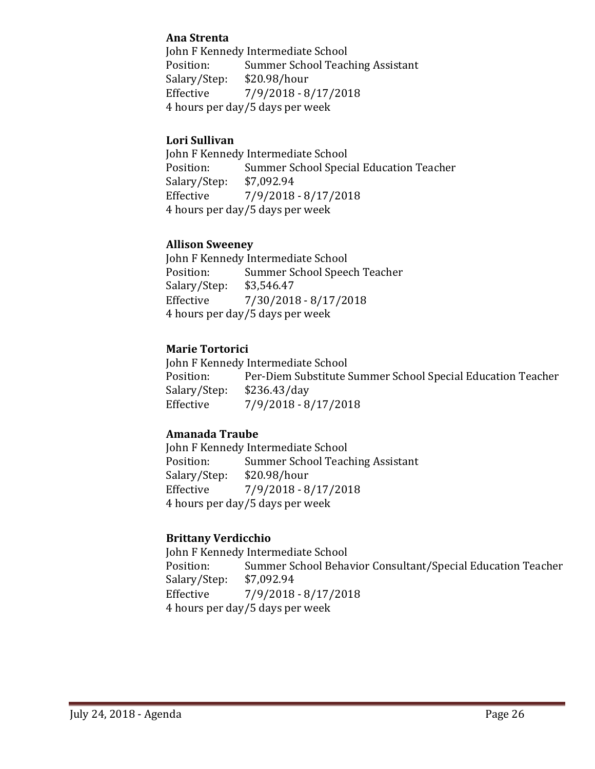### **Ana Strenta**

John F Kennedy Intermediate School<br>Position: Summer School Teacl Summer School Teaching Assistant<br>\$20.98/hour Salary/Step:<br>Effective Effective 7/9/2018 - 8/17/2018 4 hours per day/5 days per week

### **Lori Sullivan**

John F Kennedy Intermediate School<br>Position: Summer School Speci Summer School Special Education Teacher<br>\$7,092.94 Salary/Step:<br>Effective Effective 7/9/2018 - 8/17/2018 4 hours per day/5 days per week

### **Allison Sweeney**

John F Kennedy Intermediate School<br>Position: Summer School Spee Summer School Speech Teacher<br>\$3,546.47 Salary/Step:<br>Effective  $7/30/2018 - 8/17/2018$ 4 hours per day/5 days per week

### **Marie Tortorici**

John F Kennedy Intermediate School<br>Position: Per-Diem Substitute S Per-Diem Substitute Summer School Special Education Teacher<br>\$236.43/day Salary/Step:<br>Effective Effective 7/9/2018 - 8/17/2018

### **Amanada Traube**

John F Kennedy Intermediate School<br>Position: Summer School Teac Summer School Teaching Assistant<br>\$20.98/hour Salary/Step: Effective 7/9/2018 - 8/17/2018 4 hours per day/5 days per week

### **Brittany Verdicchio**

John F Kennedy Intermediate School<br>Position: Summer School Beha Summer School Behavior Consultant/Special Education Teacher \$7,092.94 Salary/Step:<br>Effective Effective 7/9/2018 - 8/17/2018 4 hours per day/5 days per week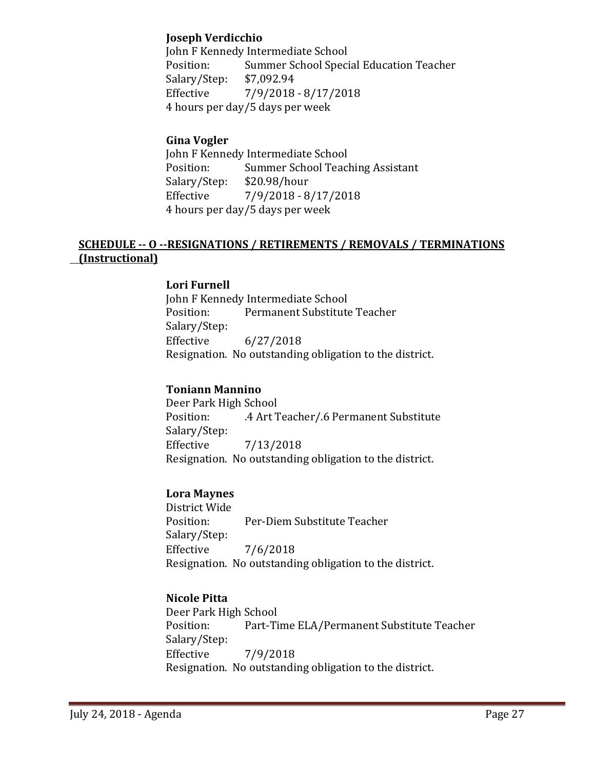### **Joseph Verdicchio**

John F Kennedy Intermediate School<br>Position: Summer School Speci Summer School Special Education Teacher<br>\$7,092.94 Salary/Step:<br>Effective Effective 7/9/2018 - 8/17/2018 4 hours per day/5 days per week

### **Gina Vogler**

John F Kennedy Intermediate School<br>Position: Summer School Teacl Summer School Teaching Assistant<br>\$20.98/hour Salary/Step:<br>Effective Effective 7/9/2018 - 8/17/2018 4 hours per day/5 days per week

### **SCHEDULE -- O --RESIGNATIONS / RETIREMENTS / REMOVALS / TERMINATIONS (Instructional)**

### **Lori Furnell**

John F Kennedy Intermediate School<br>Position: Permanent Substitute Permanent Substitute Teacher Salary/Step:  $6/27/2018$ Resignation. No outstanding obligation to the district.

#### **Toniann Mannino**

Deer Park High School .4 Art Teacher/.6 Permanent Substitute Salary/Step:<br>Effective Effective 7/13/2018 Resignation. No outstanding obligation to the district.

### **Lora Maynes**

District Wide Per-Diem Substitute Teacher Salary/Step: Effective 7/6/2018 Resignation. No outstanding obligation to the district.

### **Nicole Pitta**

Deer Park High School Part-Time ELA/Permanent Substitute Teacher Salary/Step:<br>Effective Effective 7/9/2018 Resignation. No outstanding obligation to the district.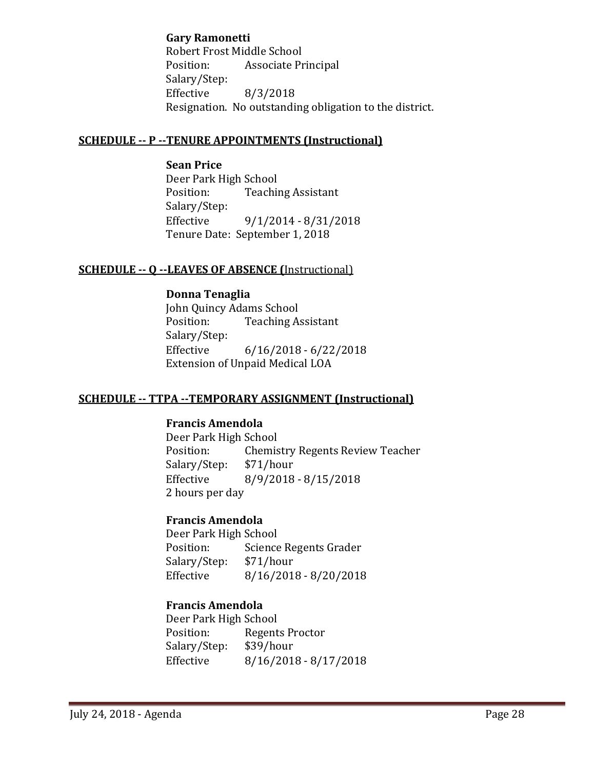**Gary Ramonetti**

Robert Frost Middle School<br>Position: Associate Pr Associate Principal Salary/Step:<br>Effective Effective 8/3/2018 Resignation. No outstanding obligation to the district.

### **SCHEDULE -- P --TENURE APPOINTMENTS (Instructional)**

**Sean Price** Deer Park High School<br>Position: Teachii **Teaching Assistant** Salary/Step:<br>Effective Effective 9/1/2014 - 8/31/2018 Tenure Date: September 1, 2018

### **SCHEDULE -- Q --LEAVES OF ABSENCE (**Instructional)

**Donna Tenaglia** John Quincy Adams School<br>Position: Teaching A **Teaching Assistant** Salary/Step: Effective 6/16/2018 - 6/22/2018 Extension of Unpaid Medical LOA

### **SCHEDULE -- TTPA --TEMPORARY ASSIGNMENT (Instructional)**

### **Francis Amendola**

Deer Park High School<br>Position: Chemis Chemistry Regents Review Teacher<br>\$71/hour Salary/Step:<br>Effective  $8/9/2018 - 8/15/2018$ 2 hours per day

### **Francis Amendola**

Deer Park High School<br>Position: Science Science Regents Grader<br>\$71/hour Salary/Step: Effective 8/16/2018 - 8/20/2018

### **Francis Amendola**

Deer Park High School Regents Proctor<br>\$39/hour Salary/Step: Effective 8/16/2018 - 8/17/2018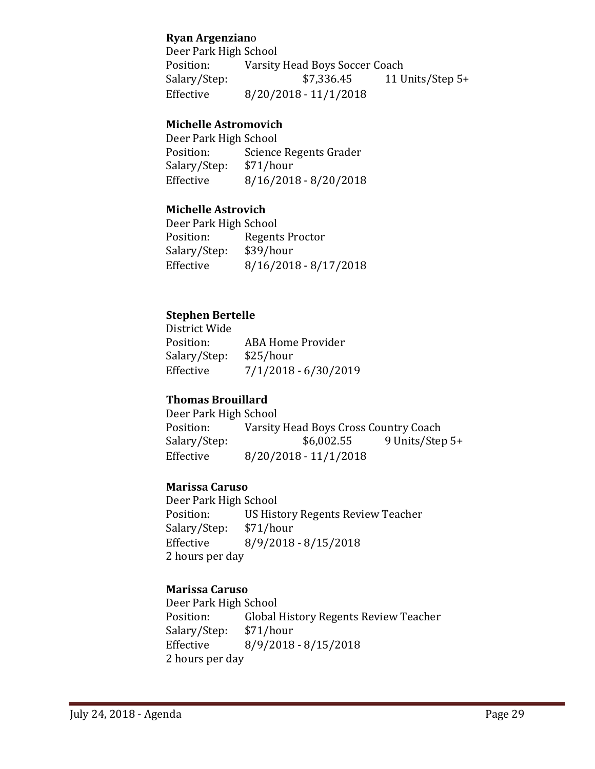### **Ryan Argenzian**o

Deer Park High School<br>Position: Varsity Position: Varsity Head Boys Soccer Coach<br>Salary/Step: \$7,336.45 11 U 11 Units/Step  $5+$ Effective 8/20/2018 - 11/1/2018

### **Michelle Astromovich**

Deer Park High School<br>Position: Science Science Regents Grader<br>\$71/hour Salary/Step:<br>Effective  $8/16/2018 - 8/20/2018$ 

### **Michelle Astrovich**

Deer Park High School<br>Position: Regent Regents Proctor<br>\$39/hour Salary/Step: Effective 8/16/2018 - 8/17/2018

### **Stephen Bertelle**

District Wide<br>Position: ABA Home Provider<br>\$25/hour Salary/Step:<br>Effective  $7/1/2018 - 6/30/2019$ 

### **Thomas Brouillard**

Deer Park High School<br>Position: Varsity Position: Varsity Head Boys Cross Country Coach<br>Salary/Step: \$6,002.55 9 Units/Step 9 Units/Step 5+ Effective 8/20/2018 - 11/1/2018

### **Marissa Caruso**

Deer Park High School US History Regents Review Teacher<br>\$71/hour Salary/Step:<br>Effective  $8/9/2018 - 8/15/2018$ 2 hours per day

### **Marissa Caruso**

Deer Park High School<br>Position: Global Global History Regents Review Teacher<br>\$71/hour Salary/Step:<br>Effective Effective 8/9/2018 - 8/15/2018 2 hours per day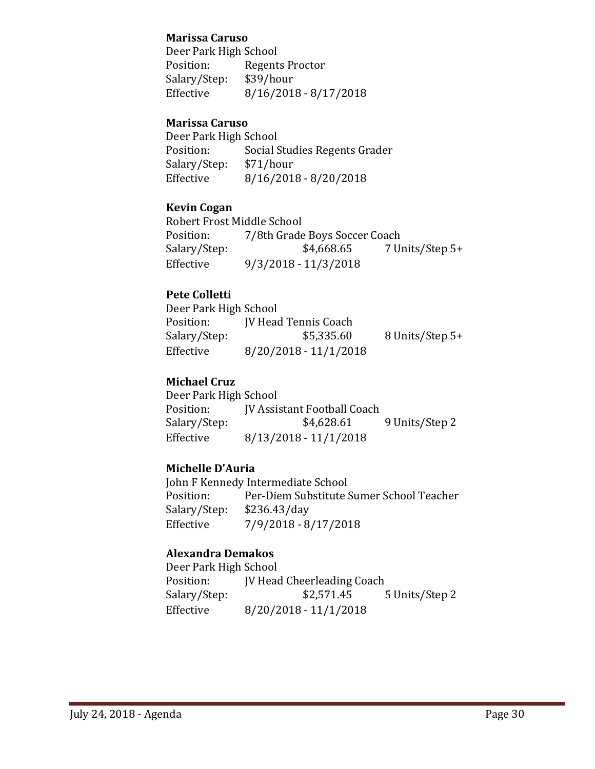### **Marissa Caruso**

Deer Park High School<br>Position: Regent Regents Proctor<br>\$39/hour Salary/Step:<br>Effective  $8/16/2018 - 8/17/2018$ 

### **Marissa Caruso**

Deer Park High School<br>Position: Social S Social Studies Regents Grader<br>\$71/hour Salary/Step:<br>Effective  $8/16/2018 - 8/20/2018$ 

### **Kevin Cogan**

Robert Frost Middle School<br>Position: 7/8th Grade Position: 7/8th Grade Boys Soccer Coach<br>Salary/Step: \$4,668.65 7 Ur Salary/Step: \$4,668.65 7 Units/Step 5+<br>Effective 9/3/2018 - 11/3/2018 Effective 9/3/2018 - 11/3/2018

### **Pete Colletti**

| Deer Park High School |                             |                 |
|-----------------------|-----------------------------|-----------------|
| Position:             | <b>IV Head Tennis Coach</b> |                 |
| Salary/Step:          | \$5,335.60                  | 8 Units/Step 5+ |
| Effective             | $8/20/2018 - 11/1/2018$     |                 |

### **Michael Cruz**

| Deer Park High School |                                    |                |
|-----------------------|------------------------------------|----------------|
| Position:             | <b>IV Assistant Football Coach</b> |                |
| Salary/Step:          | \$4,628.61                         | 9 Units/Step 2 |
| Effective             | $8/13/2018 - 11/1/2018$            |                |

### **Michelle D'Auria**

John F Kennedy Intermediate School<br>Position: Per-Diem Substitute S Per-Diem Substitute Sumer School Teacher<br>\$236.43/day Salary/Step:<br>Effective Effective 7/9/2018 - 8/17/2018

### **Alexandra Demakos**

Deer Park High School<br>Position: [V Head Position: JV Head Cheerleading Coach<br>Salary/Step: \$2,571.45 Salary/Step: \$2,571.45 5 Units/Step 2<br>Effective 8/20/2018 - 11/1/2018  $8/20/2018 - 11/1/2018$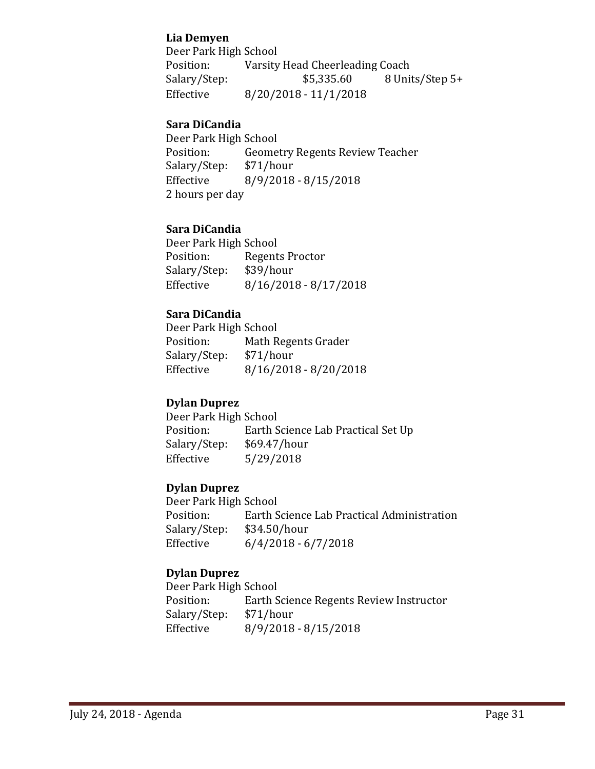### **Lia Demyen**

Deer Park High School<br>Position: Varsity Varsity Head Cheerleading Coach<br>\$5,335.60 8 Units/Step 5+ Salary/Step: Effective 8/20/2018 - 11/1/2018

### **Sara DiCandia**

Deer Park High School<br>Position: Geome Geometry Regents Review Teacher<br>\$71/hour Salary/Step: Effective 8/9/2018 - 8/15/2018 2 hours per day

### **Sara DiCandia**

Deer Park High School<br>Position: Regent Regents Proctor<br>\$39/hour Salary/Step:<br>Effective  $8/16/2018 - 8/17/2018$ 

### **Sara DiCandia**

Deer Park High School<br>Position: Math R Math Regents Grader<br>\$71/hour Salary/Step:<br>Effective  $8/16/2018 - 8/20/2018$ 

### **Dylan Duprez**

Deer Park High School<br>Position: Earth S Earth Science Lab Practical Set Up<br>\$69.47/hour Salary/Step: Effective 5/29/2018

### **Dylan Duprez**

Deer Park High School Earth Science Lab Practical Administration<br>\$34.50/hour Salary/Step:<br>Effective  $6/4/2018 - 6/7/2018$ 

### **Dylan Duprez**

Deer Park High School<br>Position: Earth S Earth Science Regents Review Instructor<br>\$71/hour Salary/Step:<br>Effective Effective 8/9/2018 - 8/15/2018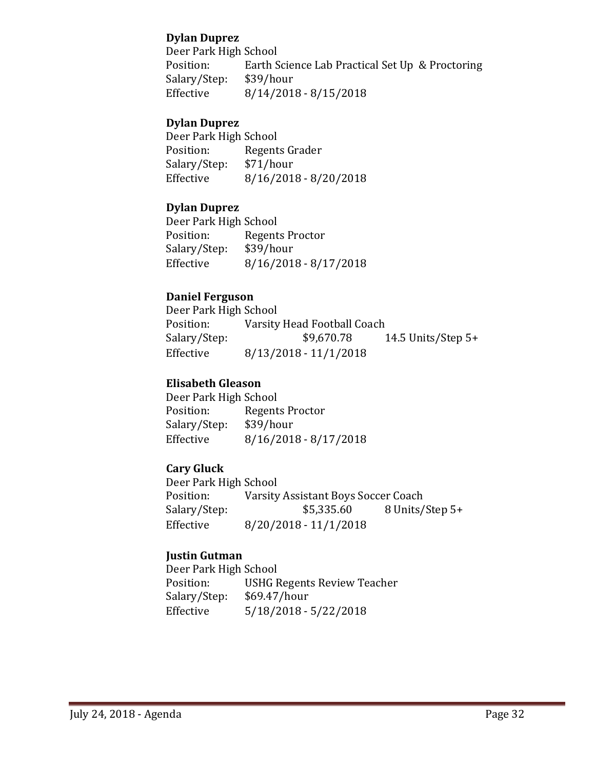### **Dylan Duprez**

Deer Park High School<br>Position: Earth S Earth Science Lab Practical Set Up & Proctoring \$39/hour Salary/Step:<br>Effective  $8/14/2018 - 8/15/2018$ 

### **Dylan Duprez**

Deer Park High School<br>Position: Regent Regents Grader<br>\$71/hour Salary/Step:<br>Effective  $8/16/2018 - 8/20/2018$ 

### **Dylan Duprez**

Deer Park High School<br>Position: Regent Regents Proctor<br>\$39/hour Salary/Step:<br>Effective  $8/16/2018 - 8/17/2018$ 

### **Daniel Ferguson**

Deer Park High School<br>Position: Varsity Position: Varsity Head Football Coach<br>Salary/Step: \$9,670.78 14.5 Units/Step  $5+$ Effective 8/13/2018 - 11/1/2018

### **Elisabeth Gleason**

Deer Park High School<br>Position: Regent Regents Proctor<br>\$39/hour Salary/Step:<br>Effective  $8/16/2018 - 8/17/2018$ 

### **Cary Gluck**

Deer Park High School<br>Position: Varsity Position: Varsity Assistant Boys Soccer Coach<br>Salary/Step: \$5,335.60 8 Units/ Salary/Step: \$5,335.60 8 Units/Step 5+<br>Effective 8/20/2018 - 11/1/2018  $8/20/2018 - 11/1/2018$ 

### **Justin Gutman**

Deer Park High School<br>Position: USHG F USHG Regents Review Teacher<br>\$69.47/hour Salary/Step: Effective 5/18/2018 - 5/22/2018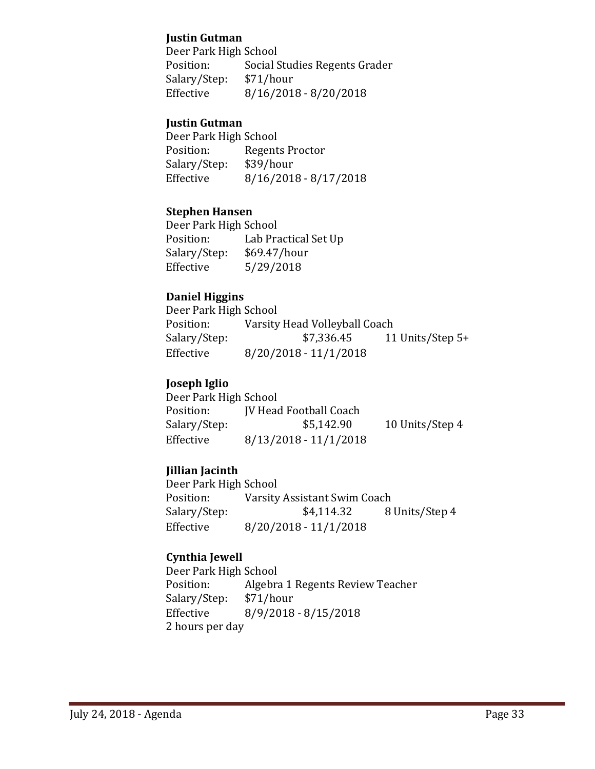### **Justin Gutman**

Deer Park High School<br>Position: Social S Social Studies Regents Grader<br>\$71/hour Salary/Step:<br>Effective  $8/16/2018 - 8/20/2018$ 

### **Justin Gutman**

Deer Park High School<br>Position: Regent Regents Proctor<br>\$39/hour Salary/Step:<br>Effective  $8/16/2018 - 8/17/2018$ 

### **Stephen Hansen**

Deer Park High School<br>Position: Lab Pra Lab Practical Set Up<br>\$69.47/hour Salary/Step:<br>Effective  $5/29/2018$ 

### **Daniel Higgins**

Deer Park High School<br>Position: Varsity Position: Varsity Head Volleyball Coach<br>Salary/Step: \$7,336.45 11 11 Units/Step  $5+$ Effective 8/20/2018 - 11/1/2018

### **Joseph Iglio**

| Deer Park High School |                               |                 |
|-----------------------|-------------------------------|-----------------|
| Position:             | <b>IV Head Football Coach</b> |                 |
| Salary/Step:          | \$5,142.90                    | 10 Units/Step 4 |
| Effective             | $8/13/2018 - 11/1/2018$       |                 |

### **Jillian Jacinth**

Deer Park High School<br>Position: Varsity Position: Varsity Assistant Swim Coach<br>Salary/Step: \$4,114.32 8 8 Units/Step 4 Effective 8/20/2018 - 11/1/2018

### **Cynthia Jewell**

Deer Park High School<br>Position: Algebra Algebra 1 Regents Review Teacher<br>\$71/hour Salary/Step:<br>Effective Effective 8/9/2018 - 8/15/2018 2 hours per day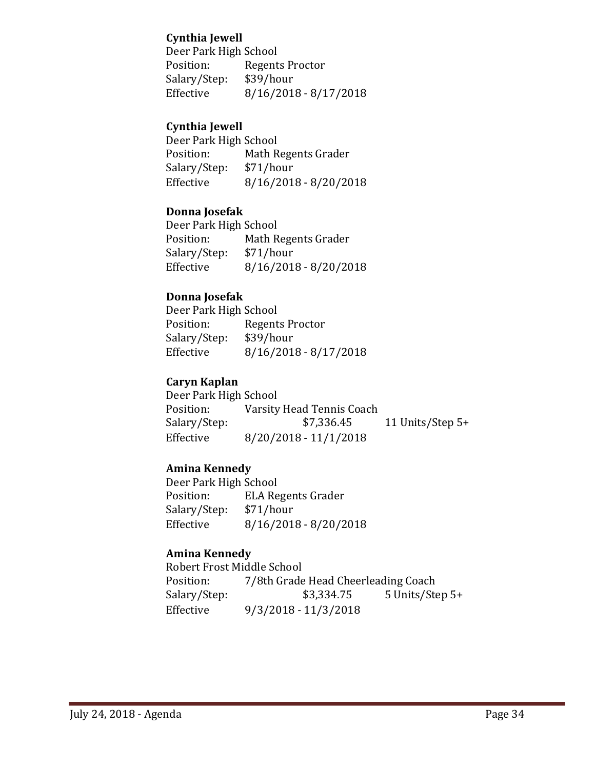### **Cynthia Jewell**

Deer Park High School<br>Position: Regent Regents Proctor<br>\$39/hour Salary/Step:<br>Effective  $8/16/2018 - 8/17/2018$ 

### **Cynthia Jewell**

Deer Park High School<br>Position: Math R Math Regents Grader<br>\$71/hour Salary/Step:<br>Effective  $8/16/2018 - 8/20/2018$ 

### **Donna Josefak**

Deer Park High School<br>Position: Math R Math Regents Grader<br>\$71/hour Salary/Step:<br>Effective  $8/16/2018 - 8/20/2018$ 

### **Donna Josefak**

Deer Park High School<br>Position: Regent Regents Proctor<br>\$39/hour Salary/Step:<br>Effective  $8/16/2018 - 8/17/2018$ 

### **Caryn Kaplan**

Deer Park High School<br>Position: Varsity Position: Varsity Head Tennis Coach<br>Salary/Step: \$7,336.45 11 Units/Step  $5+$ Effective 8/20/2018 - 11/1/2018

### **Amina Kennedy**

Deer Park High School<br>Position: ELA Re ELA Regents Grader<br>\$71/hour Salary/Step:<br>Effective  $8/16/2018 - 8/20/2018$ 

### **Amina Kennedy**

Robert Frost Middle School<br>Position: 7/8th Grade Position: 7/8th Grade Head Cheerleading Coach<br>Salary/Step: \$3,334.75 5 Units/Ste 5 Units/Step 5+ Effective 9/3/2018 - 11/3/2018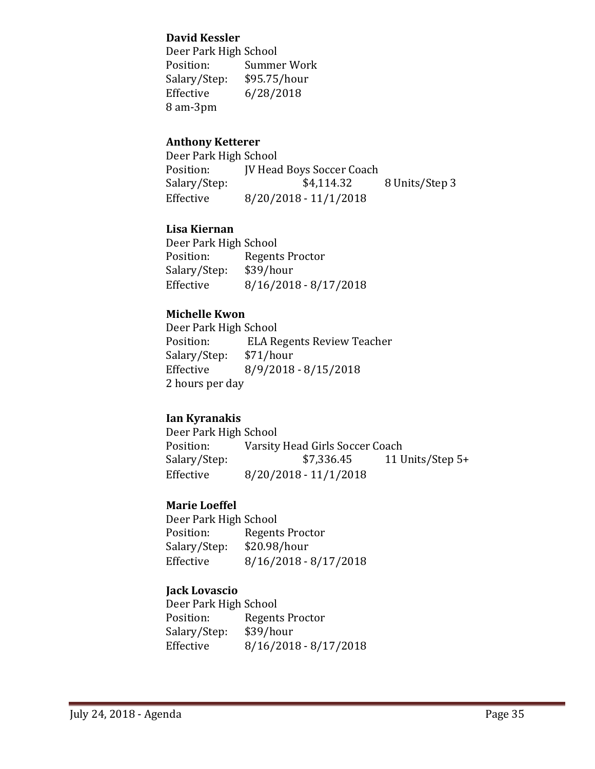### **David Kessler**

Deer Park High School<br>Position: Summe Summer Work<br>\$95.75/hour Salary/Step:<br>Effective  $6/28/2018$ 8 am-3pm

### **Anthony Ketterer**

Deer Park High School<br>Position: [V Head Position: JV Head Boys Soccer Coach<br>Salary/Step: \$4,114.32 8 Units/Step 3 Effective 8/20/2018 - 11/1/2018

### **Lisa Kiernan**

Deer Park High School<br>Position: Regent Regents Proctor<br>\$39/hour Salary/Step:<br>Effective  $8/16/2018 - 8/17/2018$ 

### **Michelle Kwon**

Deer Park High School<br>Position: ELA Re ELA Regents Review Teacher<br>\$71/hour Salary/Step:<br>Effective Effective 8/9/2018 - 8/15/2018 2 hours per day

### **Ian Kyranakis**

Deer Park High School<br>Position: Varsity Position: Varsity Head Girls Soccer Coach<br>Salary/Step: \$7,336.45 11 U 11 Units/Step  $5+$ Effective 8/20/2018 - 11/1/2018

### **Marie Loeffel**

Deer Park High School<br>Position: Regent Regents Proctor<br>\$20.98/hour Salary/Step:<br>Effective  $8/16/2018 - 8/17/2018$ 

### **Jack Lovascio**

Deer Park High School<br>Position: Regent Regents Proctor<br>\$39/hour Salary/Step:<br>Effective  $8/16/2018 - 8/17/2018$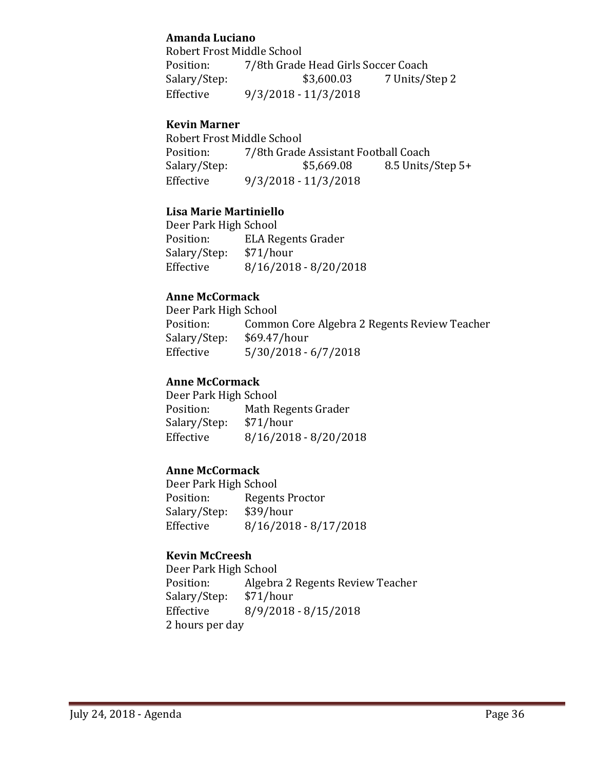### **Amanda Luciano**

Robert Frost Middle School<br>Position: 7/8th Grade Position: 7/8th Grade Head Girls Soccer Coach<br>Salary/Step: \$3,600.03 7 Units/S 7 Units/Step 2 Effective 9/3/2018 - 11/3/2018

### **Kevin Marner**

Robert Frost Middle School<br>Position: 7/8th Grade Position: 7/8th Grade Assistant Football Coach<br>Salary/Step: \$5,669.08 8.5 Units/ 8.5 Units/Step 5+ Effective 9/3/2018 - 11/3/2018

### **Lisa Marie Martiniello**

Deer Park High School<br>Position: ELA Re ELA Regents Grader<br>\$71/hour Salary/Step:<br>Effective  $8/16/2018 - 8/20/2018$ 

### **Anne McCormack**

Deer Park High School<br>Position: Commo Common Core Algebra 2 Regents Review Teacher<br>\$69.47/hour Salary/Step:<br>Effective  $5/30/2018 - 6/7/2018$ 

### **Anne McCormack**

Deer Park High School<br>Position: Math R Math Regents Grader<br>\$71/hour Salary/Step: Effective 8/16/2018 - 8/20/2018

### **Anne McCormack**

Deer Park High School<br>Position: Regent Regents Proctor<br>\$39/hour Salary/Step:<br>Effective  $8/16/2018 - 8/17/2018$ 

### **Kevin McCreesh**

Deer Park High School<br>Position: Algebra Algebra 2 Regents Review Teacher<br>\$71/hour Salary/Step:<br>Effective Effective 8/9/2018 - 8/15/2018 2 hours per day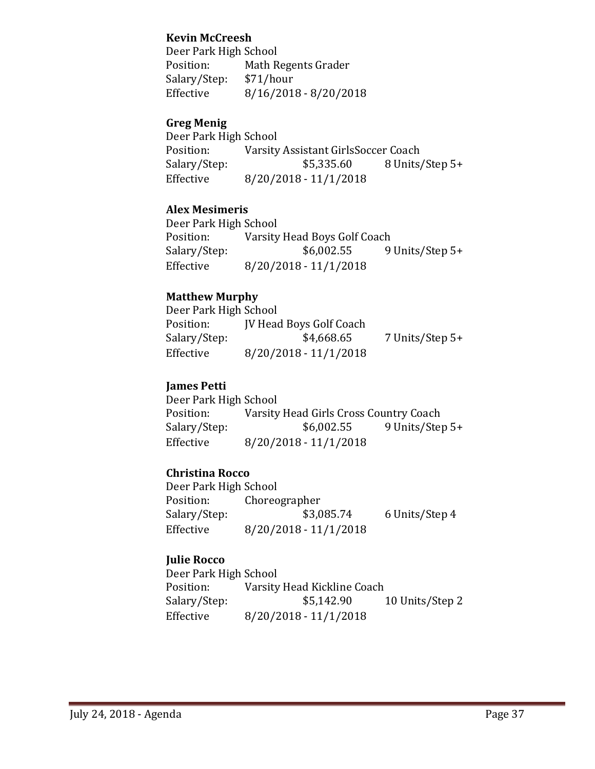### **Kevin McCreesh**

Deer Park High School<br>Position: Math R Math Regents Grader<br>\$71/hour Salary/Step:<br>Effective  $8/16/2018 - 8/20/2018$ 

### **Greg Menig**

Deer Park High School<br>Position: Varsity Position: Varsity Assistant GirlsSoccer Coach<br>Salary/Step: \$5,335.60 8 Units Salary/Step: \$5,335.60 8 Units/Step 5+<br>Effective 8/20/2018 - 11/1/2018  $8/20/2018 - 11/1/2018$ 

### **Alex Mesimeris**

Deer Park High School<br>Position: Varsity Position: Varsity Head Boys Golf Coach<br>Salary/Step: \$6,002.55 9 9 Units/Step 5+ Effective 8/20/2018 - 11/1/2018

### **Matthew Murphy**

Deer Park High School<br>Position: [V Head Position: JV Head Boys Golf Coach<br>Salary/Step: \$4,668.65 7 Units/Step 5+ Effective 8/20/2018 - 11/1/2018

### **James Petti**

Deer Park High School<br>Position: Varsity Position: Varsity Head Girls Cross Country Coach<br>Salary/Step: \$6,002.55 9 Units/Step 9 Units/Step 5+ Effective 8/20/2018 - 11/1/2018

### **Christina Rocco**

Deer Park High School<br>Position: Choreo Position: Choreographer<br>Salary/Step: \$3,085.74 Salary/Step: \$3,085.74 6 Units/Step 4<br>Effective 8/20/2018 - 11/1/2018  $8/20/2018 - 11/1/2018$ 

### **Julie Rocco**

Deer Park High School<br>Position: Varsity Position: Varsity Head Kickline Coach<br>Salary/Step: \$5,142.90 10 Units/Step 2 Effective 8/20/2018 - 11/1/2018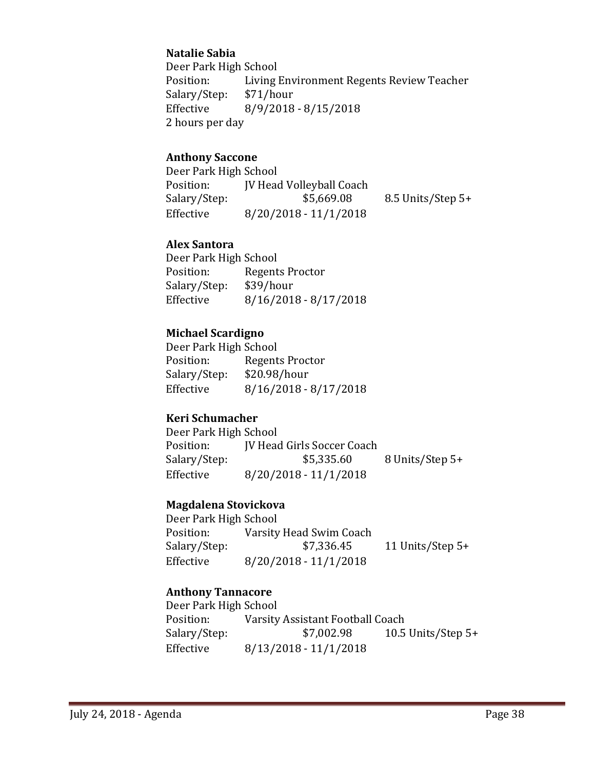### **Natalie Sabia**

Deer Park High School<br>Position: Living Living Environment Regents Review Teacher<br>\$71/hour Salary/Step: Effective 8/9/2018 - 8/15/2018 2 hours per day

### **Anthony Saccone**

| Deer Park High School |                                 |                   |
|-----------------------|---------------------------------|-------------------|
| Position:             | <b>IV Head Volleyball Coach</b> |                   |
| Salary/Step:          | \$5,669.08                      | 8.5 Units/Step 5+ |
| Effective             | $8/20/2018 - 11/1/2018$         |                   |

### **Alex Santora**

Deer Park High School<br>Position: Regent Regents Proctor<br>\$39/hour Salary/Step:<br>Effective  $8/16/2018 - 8/17/2018$ 

### **Michael Scardigno**

Deer Park High School<br>Position: Regent Regents Proctor<br>\$20.98/hour Salary/Step:<br>Effective  $8/16/2018 - 8/17/2018$ 

### **Keri Schumacher**

Deer Park High School<br>Position: IV Head Position: JV Head Girls Soccer Coach<br>Salary/Step: \$5,335.60 8 Units/Step 5+ Effective 8/20/2018 - 11/1/2018

### **Magdalena Stovickova**

Deer Park High School<br>Position: Varsity Position: Varsity Head Swim Coach<br>Salary/Step: \$7,336.45 Salary/Step: \$7,336.45 11 Units/Step 5+<br>Effective 8/20/2018 - 11/1/2018  $8/20/2018 - 11/1/2018$ 

### **Anthony Tannacore**

Deer Park High School<br>Position: Varsity Position: Varsity Assistant Football Coach<br>Salary/Step: \$7,002.98 10.5 10.5 Units/Step  $5+$ Effective 8/13/2018 - 11/1/2018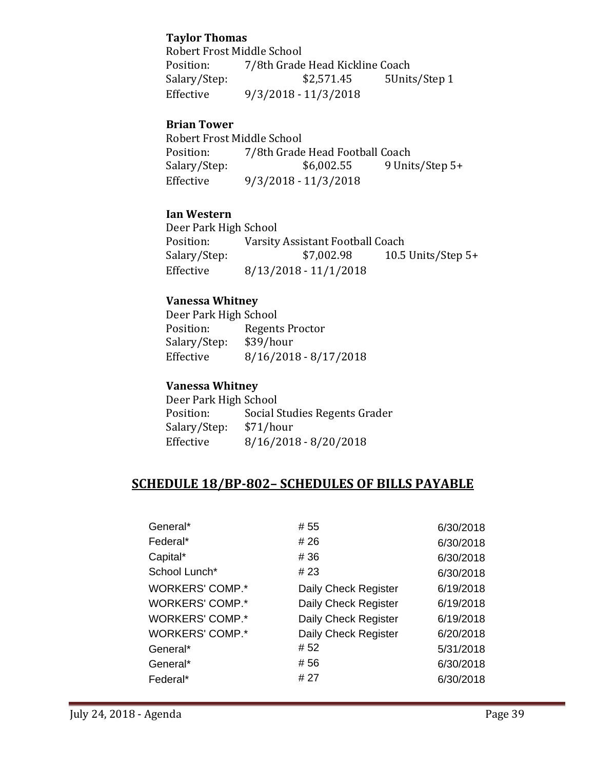### **Taylor Thomas**

Robert Frost Middle School<br>Position: 7/8th Grade 7/8th Grade Head Kickline Coach<br>\$2,571.45 5Units/Step 1 Salary/Step: Effective 9/3/2018 - 11/3/2018

### **Brian Tower**

Robert Frost Middle School<br>Position: 7/8th Grade Position: 7/8th Grade Head Football Coach<br>Salary/Step: \$6,002.55 9 Unit 9 Units/Step 5+ Effective 9/3/2018 - 11/3/2018

### **Ian Western**

Deer Park High School<br>Position: Varsity Position: Varsity Assistant Football Coach<br>Salary/Step: \$7,002.98 10.5 10.5 Units/Step  $5+$ Effective 8/13/2018 - 11/1/2018

### **Vanessa Whitney**

Deer Park High School<br>Position: Regent Regents Proctor<br>\$39/hour Salary/Step:<br>Effective  $8/16/2018 - 8/17/2018$ 

### **Vanessa Whitney**

Deer Park High School<br>Position: Social S Social Studies Regents Grader<br>\$71/hour Salary/Step:<br>Effective  $8/16/2018 - 8/20/2018$ 

# **SCHEDULE 18/BP-802– SCHEDULES OF BILLS PAYABLE**

| General*               | # 55                 | 6/30/2018 |
|------------------------|----------------------|-----------|
| Federal*               | # 26                 | 6/30/2018 |
| Capital*               | # 36                 | 6/30/2018 |
| School Lunch*          | # 23                 | 6/30/2018 |
| <b>WORKERS' COMP.*</b> | Daily Check Register | 6/19/2018 |
| <b>WORKERS' COMP.*</b> | Daily Check Register | 6/19/2018 |
| <b>WORKERS' COMP.*</b> | Daily Check Register | 6/19/2018 |
| <b>WORKERS' COMP.*</b> | Daily Check Register | 6/20/2018 |
| General*               | #52                  | 5/31/2018 |
| General*               | #56                  | 6/30/2018 |
| Federal*               | # 27                 | 6/30/2018 |
|                        |                      |           |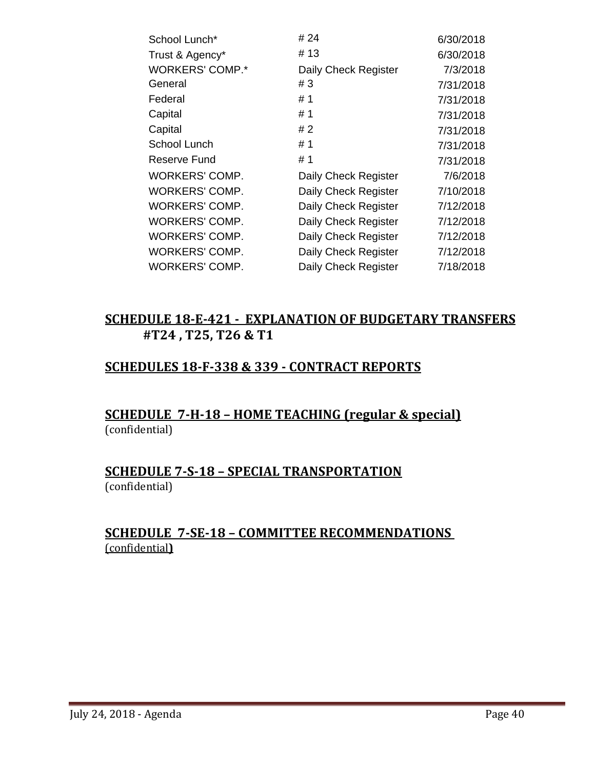| School Lunch*          | # 24                 | 6/30/2018 |
|------------------------|----------------------|-----------|
| Trust & Agency*        | # 13                 | 6/30/2018 |
| <b>WORKERS' COMP.*</b> | Daily Check Register | 7/3/2018  |
| General                | #3                   | 7/31/2018 |
| Federal                | #1                   | 7/31/2018 |
| Capital                | # 1                  | 7/31/2018 |
| Capital                | # 2                  | 7/31/2018 |
| School Lunch           | # 1                  | 7/31/2018 |
| Reserve Fund           | # 1                  | 7/31/2018 |
| <b>WORKERS' COMP.</b>  | Daily Check Register | 7/6/2018  |
| <b>WORKERS' COMP.</b>  | Daily Check Register | 7/10/2018 |
| <b>WORKERS' COMP.</b>  | Daily Check Register | 7/12/2018 |
| <b>WORKERS' COMP.</b>  | Daily Check Register | 7/12/2018 |
| WORKERS' COMP.         | Daily Check Register | 7/12/2018 |
| <b>WORKERS' COMP.</b>  | Daily Check Register | 7/12/2018 |
| <b>WORKERS' COMP.</b>  | Daily Check Register | 7/18/2018 |

# **SCHEDULE 18-E-421 - EXPLANATION OF BUDGETARY TRANSFERS #T24 , T25, T26 & T1**

# **SCHEDULES 18-F-338 & 339 - CONTRACT REPORTS**

# **SCHEDULE 7-H-18 – HOME TEACHING (regular & special)** (confidential)

### **SCHEDULE 7-S-18 – SPECIAL TRANSPORTATION**  (confidential)

# **SCHEDULE 7-SE-18 – COMMITTEE RECOMMENDATIONS**  (confidential**)**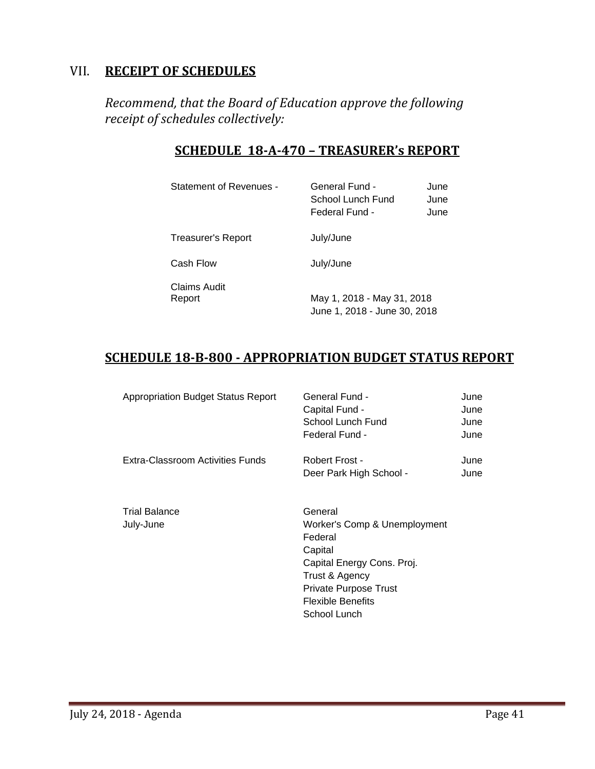# VII. **RECEIPT OF SCHEDULES**

*Recommend, that the Board of Education approve the following receipt of schedules collectively:*

# **SCHEDULE 18-A-470 – TREASURER's REPORT**

| Statement of Revenues - |  |
|-------------------------|--|
|-------------------------|--|

General Fund - June School Lunch Fund June Federal Fund - June

Treasurer's Report **July/June** 

Cash Flow July/June

Claims Audit

May 1, 2018 - May 31, 2018 June 1, 2018 - June 30, 2018

# **SCHEDULE 18-B-800 - APPROPRIATION BUDGET STATUS REPORT**

| <b>Appropriation Budget Status Report</b> | General Fund -<br>Capital Fund -<br>School Lunch Fund<br>Federal Fund -                                                                                                            | June<br>June<br>June<br>June |
|-------------------------------------------|------------------------------------------------------------------------------------------------------------------------------------------------------------------------------------|------------------------------|
| Extra-Classroom Activities Funds          | Robert Frost -<br>Deer Park High School -                                                                                                                                          | June<br>June                 |
| <b>Trial Balance</b><br>July-June         | General<br>Worker's Comp & Unemployment<br>Federal<br>Capital<br>Capital Energy Cons. Proj.<br>Trust & Agency<br>Private Purpose Trust<br><b>Flexible Benefits</b><br>School Lunch |                              |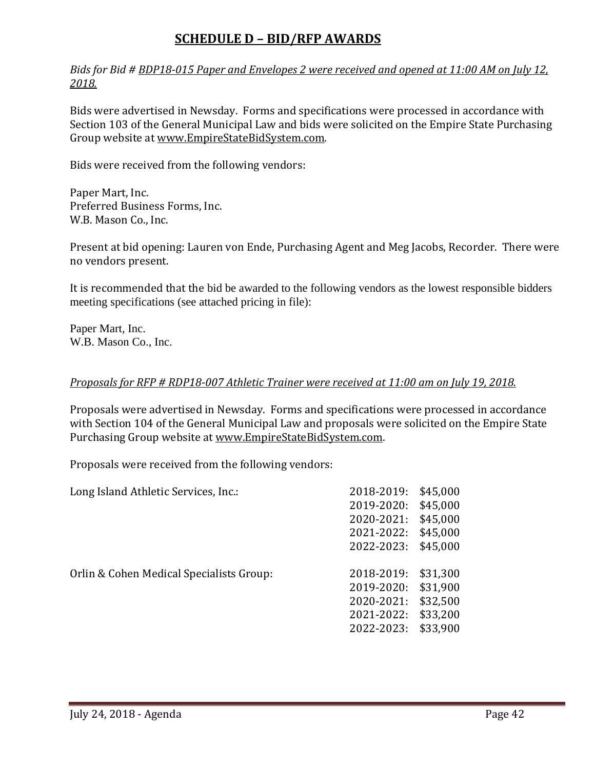# **SCHEDULE D – BID/RFP AWARDS**

*Bids for Bid # BDP18-015 Paper and Envelopes 2 were received and opened at 11:00 AM on July 12, 2018.*

Bids were advertised in Newsday. Forms and specifications were processed in accordance with Section 103 of the General Municipal Law and bids were solicited on the Empire State Purchasing Group website at [www.EmpireStateBidSystem.com.](http://www.empirestatebidsystem.com/) 

Bids were received from the following vendors:

Paper Mart, Inc. Preferred Business Forms, Inc. W.B. Mason Co., Inc.

Present at bid opening: Lauren von Ende, Purchasing Agent and Meg Jacobs, Recorder. There were no vendors present.

It is recommended that the bid be awarded to the following vendors as the lowest responsible bidders meeting specifications (see attached pricing in file):

Paper Mart, Inc. W.B. Mason Co., Inc.

#### *Proposals for RFP # RDP18-007 Athletic Trainer were received at 11:00 am on July 19, 2018.*

Proposals were advertised in Newsday. Forms and specifications were processed in accordance with Section 104 of the General Municipal Law and proposals were solicited on the Empire State Purchasing Group website at [www.EmpireStateBidSystem.com.](http://www.empirestatebidsystem.com/)

Proposals were received from the following vendors:

| Long Island Athletic Services, Inc.:     | 2018-2019: | \$45,000 |
|------------------------------------------|------------|----------|
|                                          | 2019-2020: | \$45,000 |
|                                          | 2020-2021: | \$45,000 |
|                                          | 2021-2022: | \$45,000 |
|                                          | 2022-2023: | \$45,000 |
| Orlin & Cohen Medical Specialists Group: | 2018-2019: | \$31,300 |
|                                          | 2019-2020: | \$31,900 |
|                                          | 2020-2021: | \$32,500 |
|                                          | 2021-2022: | \$33,200 |
|                                          | 2022-2023: | \$33,900 |
|                                          |            |          |